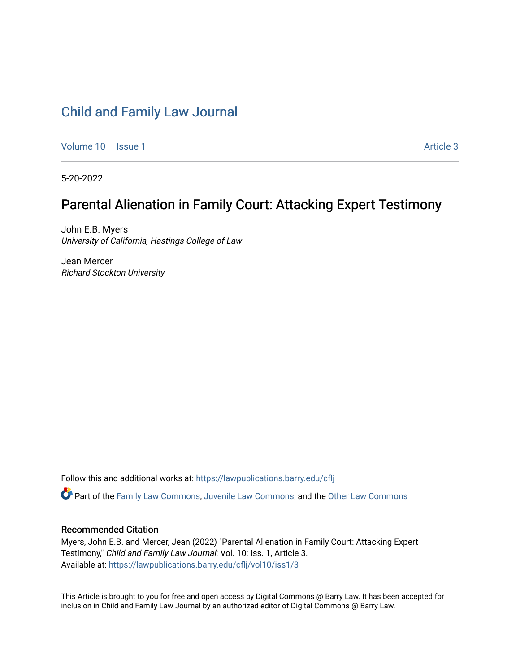# [Child and Family Law Journal](https://lawpublications.barry.edu/cflj)

[Volume 10](https://lawpublications.barry.edu/cflj/vol10) | [Issue 1](https://lawpublications.barry.edu/cflj/vol10/iss1) Article 3

5-20-2022

## Parental Alienation in Family Court: Attacking Expert Testimony

John E.B. Myers University of California, Hastings College of Law

Jean Mercer Richard Stockton University

Follow this and additional works at: [https://lawpublications.barry.edu/cflj](https://lawpublications.barry.edu/cflj?utm_source=lawpublications.barry.edu%2Fcflj%2Fvol10%2Fiss1%2F3&utm_medium=PDF&utm_campaign=PDFCoverPages)

Part of the [Family Law Commons,](https://network.bepress.com/hgg/discipline/602?utm_source=lawpublications.barry.edu%2Fcflj%2Fvol10%2Fiss1%2F3&utm_medium=PDF&utm_campaign=PDFCoverPages) [Juvenile Law Commons](https://network.bepress.com/hgg/discipline/851?utm_source=lawpublications.barry.edu%2Fcflj%2Fvol10%2Fiss1%2F3&utm_medium=PDF&utm_campaign=PDFCoverPages), and the [Other Law Commons](https://network.bepress.com/hgg/discipline/621?utm_source=lawpublications.barry.edu%2Fcflj%2Fvol10%2Fiss1%2F3&utm_medium=PDF&utm_campaign=PDFCoverPages)

#### Recommended Citation

Myers, John E.B. and Mercer, Jean (2022) "Parental Alienation in Family Court: Attacking Expert Testimony," Child and Family Law Journal: Vol. 10: Iss. 1, Article 3. Available at: [https://lawpublications.barry.edu/cflj/vol10/iss1/3](https://lawpublications.barry.edu/cflj/vol10/iss1/3?utm_source=lawpublications.barry.edu%2Fcflj%2Fvol10%2Fiss1%2F3&utm_medium=PDF&utm_campaign=PDFCoverPages) 

This Article is brought to you for free and open access by Digital Commons @ Barry Law. It has been accepted for inclusion in Child and Family Law Journal by an authorized editor of Digital Commons @ Barry Law.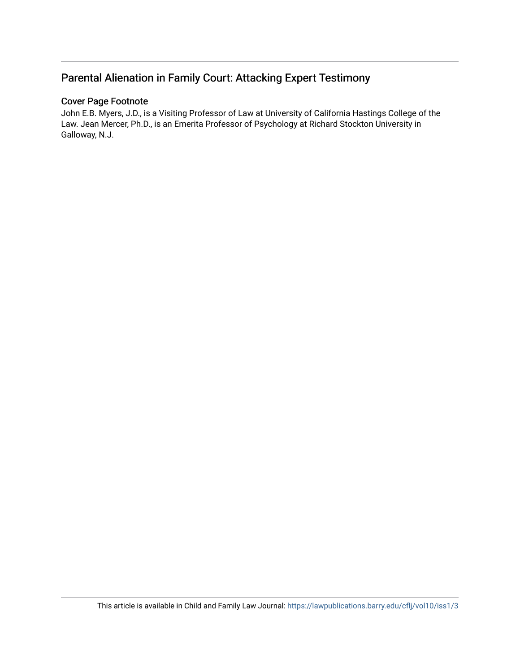## Parental Alienation in Family Court: Attacking Expert Testimony

### Cover Page Footnote

John E.B. Myers, J.D., is a Visiting Professor of Law at University of California Hastings College of the Law. Jean Mercer, Ph.D., is an Emerita Professor of Psychology at Richard Stockton University in Galloway, N.J.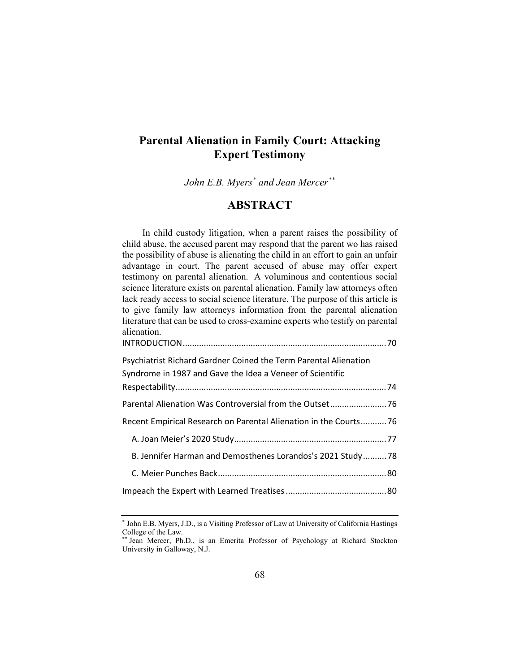### **Parental Alienation in Family Court: Attacking Expert Testimony**

*John E.B. Myers\* and Jean Mercer\*\**

### **ABSTRACT**

In child custody litigation, when a parent raises the possibility of child abuse, the accused parent may respond that the parent wo has raised the possibility of abuse is alienating the child in an effort to gain an unfair advantage in court. The parent accused of abuse may offer expert testimony on parental alienation. A voluminous and contentious social science literature exists on parental alienation. Family law attorneys often lack ready access to social science literature. The purpose of this article is to give family law attorneys information from the parental alienation literature that can be used to cross-examine experts who testify on parental alienation. INTRODUCTION ....................................................................................... 70

| Psychiatrist Richard Gardner Coined the Term Parental Alienation |  |
|------------------------------------------------------------------|--|
| Syndrome in 1987 and Gave the Idea a Veneer of Scientific        |  |
|                                                                  |  |
|                                                                  |  |
| Recent Empirical Research on Parental Alienation in the Courts76 |  |
|                                                                  |  |
| B. Jennifer Harman and Demosthenes Lorandos's 2021 Study78       |  |
|                                                                  |  |
|                                                                  |  |

<sup>\*</sup> John E.B. Myers, J.D., is a Visiting Professor of Law at University of California Hastings College of the Law.

<sup>\*\*</sup> Jean Mercer, Ph.D., is an Emerita Professor of Psychology at Richard Stockton University in Galloway, N.J.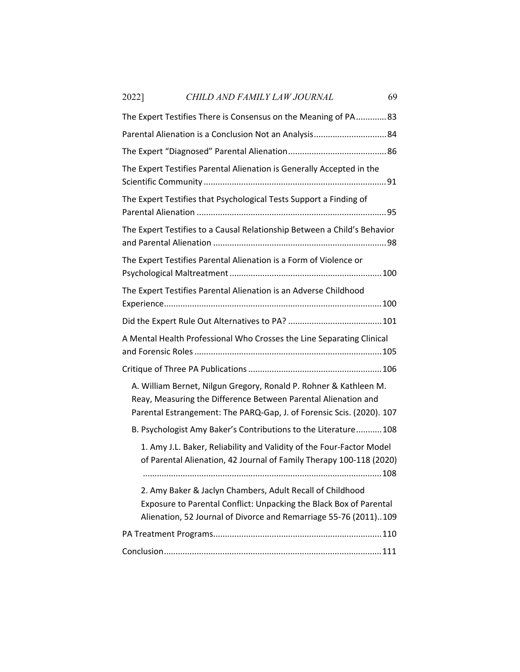| 2022]                                                                 | CHILD AND FAMILY LAW JOURNAL                                                                                                                                                                                 | 69 |  |
|-----------------------------------------------------------------------|--------------------------------------------------------------------------------------------------------------------------------------------------------------------------------------------------------------|----|--|
|                                                                       | The Expert Testifies There is Consensus on the Meaning of PA83                                                                                                                                               |    |  |
|                                                                       |                                                                                                                                                                                                              |    |  |
|                                                                       |                                                                                                                                                                                                              |    |  |
|                                                                       | The Expert Testifies Parental Alienation is Generally Accepted in the                                                                                                                                        |    |  |
|                                                                       | The Expert Testifies that Psychological Tests Support a Finding of                                                                                                                                           |    |  |
|                                                                       | The Expert Testifies to a Causal Relationship Between a Child's Behavior                                                                                                                                     |    |  |
|                                                                       | The Expert Testifies Parental Alienation is a Form of Violence or                                                                                                                                            |    |  |
|                                                                       | The Expert Testifies Parental Alienation is an Adverse Childhood                                                                                                                                             |    |  |
|                                                                       |                                                                                                                                                                                                              |    |  |
| A Mental Health Professional Who Crosses the Line Separating Clinical |                                                                                                                                                                                                              |    |  |
|                                                                       |                                                                                                                                                                                                              |    |  |
|                                                                       | A. William Bernet, Nilgun Gregory, Ronald P. Rohner & Kathleen M.<br>Reay, Measuring the Difference Between Parental Alienation and<br>Parental Estrangement: The PARQ-Gap, J. of Forensic Scis. (2020). 107 |    |  |
|                                                                       | B. Psychologist Amy Baker's Contributions to the Literature 108                                                                                                                                              |    |  |
|                                                                       | 1. Amy J.L. Baker, Reliability and Validity of the Four-Factor Model<br>of Parental Alienation, 42 Journal of Family Therapy 100-118 (2020)                                                                  |    |  |
|                                                                       | 2. Amy Baker & Jaclyn Chambers, Adult Recall of Childhood<br>Exposure to Parental Conflict: Unpacking the Black Box of Parental<br>Alienation, 52 Journal of Divorce and Remarriage 55-76 (2011)109          |    |  |
|                                                                       |                                                                                                                                                                                                              |    |  |
|                                                                       |                                                                                                                                                                                                              |    |  |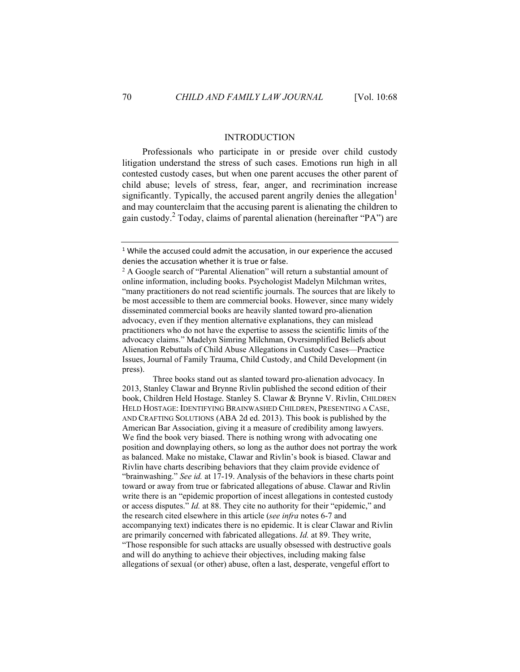#### INTRODUCTION

Professionals who participate in or preside over child custody litigation understand the stress of such cases. Emotions run high in all contested custody cases, but when one parent accuses the other parent of child abuse; levels of stress, fear, anger, and recrimination increase significantly. Typically, the accused parent angrily denies the allegation<sup>1</sup> and may counterclaim that the accusing parent is alienating the children to gain custody.2 Today, claims of parental alienation (hereinafter "PA") are

Three books stand out as slanted toward pro-alienation advocacy. In 2013, Stanley Clawar and Brynne Rivlin published the second edition of their book, Children Held Hostage. Stanley S. Clawar & Brynne V. Rivlin, CHILDREN HELD HOSTAGE: IDENTIFYING BRAINWASHED CHILDREN, PRESENTING A CASE, AND CRAFTING SOLUTIONS (ABA 2d ed. 2013). This book is published by the American Bar Association, giving it a measure of credibility among lawyers. We find the book very biased. There is nothing wrong with advocating one position and downplaying others, so long as the author does not portray the work as balanced. Make no mistake, Clawar and Rivlin's book is biased. Clawar and Rivlin have charts describing behaviors that they claim provide evidence of "brainwashing." *See id.* at 17-19. Analysis of the behaviors in these charts point toward or away from true or fabricated allegations of abuse. Clawar and Rivlin write there is an "epidemic proportion of incest allegations in contested custody or access disputes." *Id.* at 88. They cite no authority for their "epidemic," and the research cited elsewhere in this article (*see infra* notes 6-7 and accompanying text) indicates there is no epidemic. It is clear Clawar and Rivlin are primarily concerned with fabricated allegations. *Id.* at 89. They write, "Those responsible for such attacks are usually obsessed with destructive goals and will do anything to achieve their objectives, including making false allegations of sexual (or other) abuse, often a last, desperate, vengeful effort to

 $1$  While the accused could admit the accusation, in our experience the accused denies the accusation whether it is true or false.

<sup>&</sup>lt;sup>2</sup> A Google search of "Parental Alienation" will return a substantial amount of online information, including books. Psychologist Madelyn Milchman writes, "many practitioners do not read scientific journals. The sources that are likely to be most accessible to them are commercial books. However, since many widely disseminated commercial books are heavily slanted toward pro-alienation advocacy, even if they mention alternative explanations, they can mislead practitioners who do not have the expertise to assess the scientific limits of the advocacy claims." Madelyn Simring Milchman, Oversimplified Beliefs about Alienation Rebuttals of Child Abuse Allegations in Custody Cases—Practice Issues, Journal of Family Trauma, Child Custody, and Child Development (in press).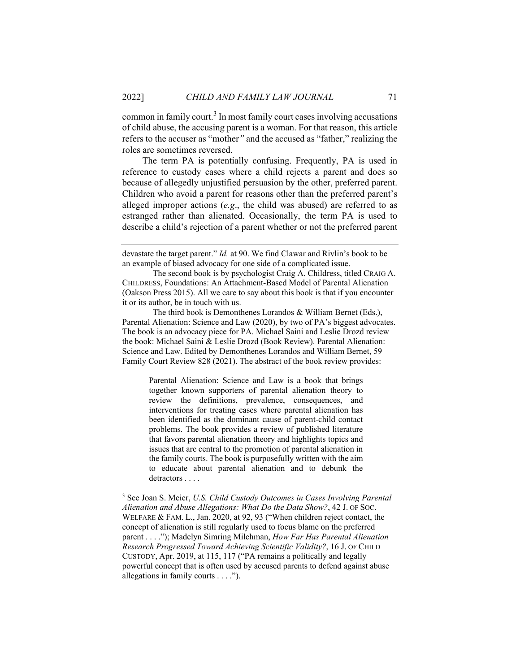common in family court.<sup>3</sup> In most family court cases involving accusations of child abuse, the accusing parent is a woman. For that reason, this article refers to the accuser as "mother*"* and the accused as "father," realizing the roles are sometimes reversed.

The term PA is potentially confusing. Frequently, PA is used in reference to custody cases where a child rejects a parent and does so because of allegedly unjustified persuasion by the other, preferred parent. Children who avoid a parent for reasons other than the preferred parent's alleged improper actions (*e.g*., the child was abused) are referred to as estranged rather than alienated. Occasionally, the term PA is used to describe a child's rejection of a parent whether or not the preferred parent

 The second book is by psychologist Craig A. Childress, titled CRAIG A. CHILDRESS, Foundations: An Attachment-Based Model of Parental Alienation (Oakson Press 2015). All we care to say about this book is that if you encounter it or its author, be in touch with us.

 The third book is Demonthenes Lorandos & William Bernet (Eds.), Parental Alienation: Science and Law (2020), by two of PA's biggest advocates. The book is an advocacy piece for PA. Michael Saini and Leslie Drozd review the book: Michael Saini & Leslie Drozd (Book Review). Parental Alienation: Science and Law. Edited by Demonthenes Lorandos and William Bernet, 59 Family Court Review 828 (2021). The abstract of the book review provides:

Parental Alienation: Science and Law is a book that brings together known supporters of parental alienation theory to review the definitions, prevalence, consequences, and interventions for treating cases where parental alienation has been identified as the dominant cause of parent-child contact problems. The book provides a review of published literature that favors parental alienation theory and highlights topics and issues that are central to the promotion of parental alienation in the family courts. The book is purposefully written with the aim to educate about parental alienation and to debunk the detractors . . . .

3 See Joan S. Meier, *U.S. Child Custody Outcomes in Cases Involving Parental Alienation and Abuse Allegations: What Do the Data Show?*, 42 J. OF SOC. WELFARE & FAM. L., Jan. 2020, at 92, 93 ("When children reject contact, the concept of alienation is still regularly used to focus blame on the preferred parent . . . ."); Madelyn Simring Milchman, *How Far Has Parental Alienation Research Progressed Toward Achieving Scientific Validity?*, 16 J. OF CHILD CUSTODY, Apr. 2019, at 115, 117 ("PA remains a politically and legally powerful concept that is often used by accused parents to defend against abuse allegations in family courts . . . .").

devastate the target parent." *Id.* at 90. We find Clawar and Rivlin's book to be an example of biased advocacy for one side of a complicated issue.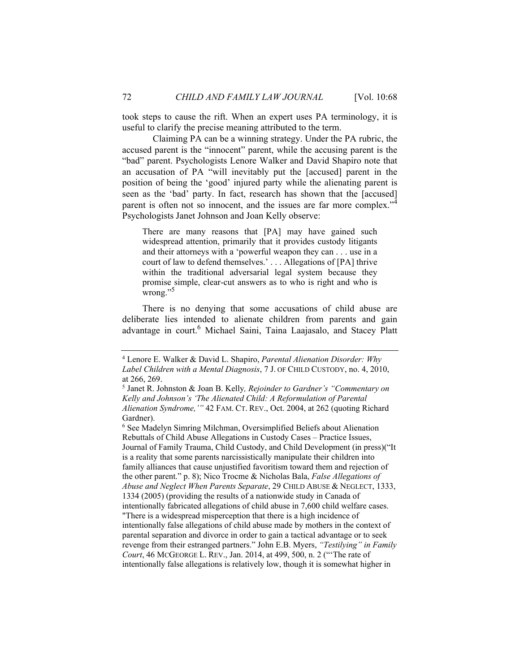took steps to cause the rift. When an expert uses PA terminology, it is useful to clarify the precise meaning attributed to the term.

 Claiming PA can be a winning strategy. Under the PA rubric, the accused parent is the "innocent" parent, while the accusing parent is the "bad" parent. Psychologists Lenore Walker and David Shapiro note that an accusation of PA "will inevitably put the [accused] parent in the position of being the 'good' injured party while the alienating parent is seen as the 'bad' party. In fact, research has shown that the [accused] parent is often not so innocent, and the issues are far more complex."<sup>4</sup> Psychologists Janet Johnson and Joan Kelly observe:

There are many reasons that [PA] may have gained such widespread attention, primarily that it provides custody litigants and their attorneys with a 'powerful weapon they can . . . use in a court of law to defend themselves.' . . . Allegations of [PA] thrive within the traditional adversarial legal system because they promise simple, clear-cut answers as to who is right and who is wrong." $5$ 

There is no denying that some accusations of child abuse are deliberate lies intended to alienate children from parents and gain advantage in court.<sup>6</sup> Michael Saini, Taina Laajasalo, and Stacey Platt

<sup>4</sup> Lenore E. Walker & David L. Shapiro, *Parental Alienation Disorder: Why Label Children with a Mental Diagnosis*, 7 J. OF CHILD CUSTODY, no. 4, 2010, at 266, 269.

<sup>5</sup> Janet R. Johnston & Joan B. Kelly*, Rejoinder to Gardner's "Commentary on Kelly and Johnson's 'The Alienated Child: A Reformulation of Parental Alienation Syndrome,'"* 42 FAM. CT. REV., Oct. 2004, at 262 (quoting Richard Gardner).

<sup>6</sup> See Madelyn Simring Milchman, Oversimplified Beliefs about Alienation Rebuttals of Child Abuse Allegations in Custody Cases – Practice Issues, Journal of Family Trauma, Child Custody, and Child Development (in press)("It is a reality that some parents narcissistically manipulate their children into family alliances that cause unjustified favoritism toward them and rejection of the other parent." p. 8); Nico Trocme & Nicholas Bala, *False Allegations of Abuse and Neglect When Parents Separate*, 29 CHILD ABUSE & NEGLECT, 1333, 1334 (2005) (providing the results of a nationwide study in Canada of intentionally fabricated allegations of child abuse in 7,600 child welfare cases. "There is a widespread misperception that there is a high incidence of intentionally false allegations of child abuse made by mothers in the context of parental separation and divorce in order to gain a tactical advantage or to seek revenge from their estranged partners." John E.B. Myers, *"Testilying" in Family Court*, 46 MCGEORGE L. REV., Jan. 2014, at 499, 500, n. 2 ("'The rate of intentionally false allegations is relatively low, though it is somewhat higher in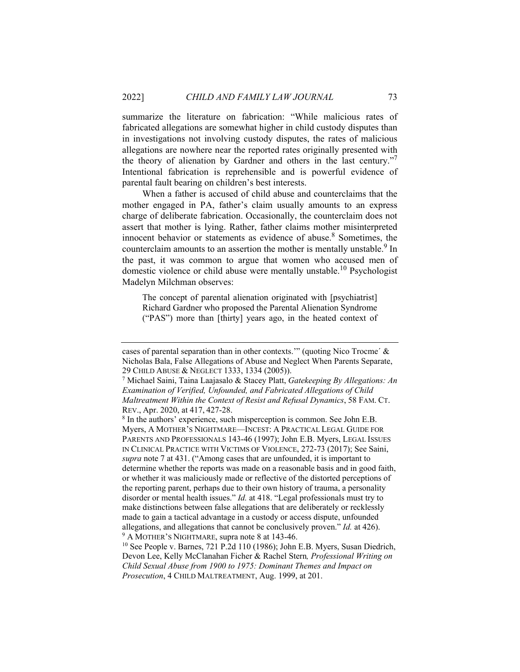summarize the literature on fabrication: "While malicious rates of fabricated allegations are somewhat higher in child custody disputes than in investigations not involving custody disputes, the rates of malicious allegations are nowhere near the reported rates originally presented with the theory of alienation by Gardner and others in the last century."<sup>7</sup> Intentional fabrication is reprehensible and is powerful evidence of parental fault bearing on children's best interests.

When a father is accused of child abuse and counterclaims that the mother engaged in PA, father's claim usually amounts to an express charge of deliberate fabrication. Occasionally, the counterclaim does not assert that mother is lying. Rather, father claims mother misinterpreted innocent behavior or statements as evidence of abuse.<sup>8</sup> Sometimes, the counterclaim amounts to an assertion the mother is mentally unstable.<sup>9</sup> In the past, it was common to argue that women who accused men of domestic violence or child abuse were mentally unstable.<sup>10</sup> Psychologist Madelyn Milchman observes:

The concept of parental alienation originated with [psychiatrist] Richard Gardner who proposed the Parental Alienation Syndrome ("PAS") more than [thirty] years ago, in the heated context of

cases of parental separation than in other contexts.'" (quoting Nico Trocme´ & Nicholas Bala, False Allegations of Abuse and Neglect When Parents Separate, 29 CHILD ABUSE & NEGLECT 1333, 1334 (2005)). 7

Michael Saini, Taina Laajasalo & Stacey Platt, *Gatekeeping By Allegations: An Examination of Verified, Unfounded, and Fabricated Allegations of Child Maltreatment Within the Context of Resist and Refusal Dynamics*, 58 FAM. CT. REV., Apr. 2020, at 417, 427-28.

 $8$  In the authors' experience, such misperception is common. See John E.B. Myers, A MOTHER'S NIGHTMARE—INCEST: A PRACTICAL LEGAL GUIDE FOR PARENTS AND PROFESSIONALS 143-46 (1997); John E.B. Myers, LEGAL ISSUES IN CLINICAL PRACTICE WITH VICTIMS OF VIOLENCE, 272-73 (2017); See Saini, *supra* note 7 at 431. ("Among cases that are unfounded, it is important to determine whether the reports was made on a reasonable basis and in good faith, or whether it was maliciously made or reflective of the distorted perceptions of the reporting parent, perhaps due to their own history of trauma, a personality disorder or mental health issues." *Id.* at 418. "Legal professionals must try to make distinctions between false allegations that are deliberately or recklessly made to gain a tactical advantage in a custody or access dispute, unfounded allegations, and allegations that cannot be conclusively proven." *Id.* at 426). <sup>9</sup> A MOTHER'S NIGHTMARE, supra note 8 at 143-46.

 $10$  See People v. Barnes, 721 P.2d 110 (1986); John E.B. Myers, Susan Diedrich, Devon Lee, Kelly McClanahan Ficher & Rachel Stern*, Professional Writing on Child Sexual Abuse from 1900 to 1975: Dominant Themes and Impact on Prosecution*, 4 CHILD MALTREATMENT, Aug. 1999, at 201.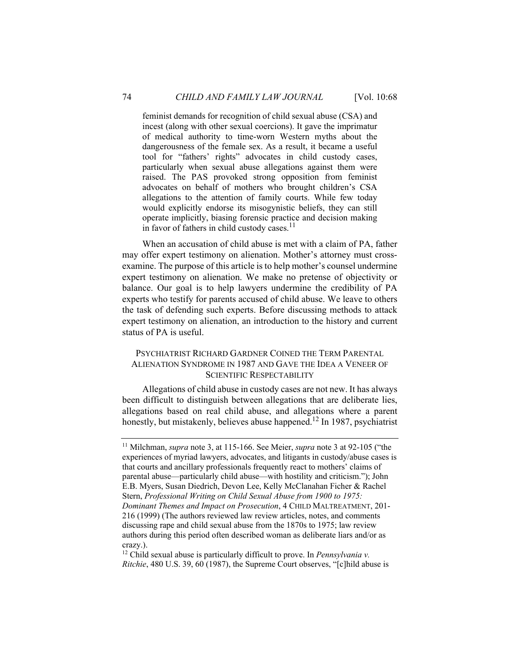feminist demands for recognition of child sexual abuse (CSA) and incest (along with other sexual coercions). It gave the imprimatur of medical authority to time-worn Western myths about the dangerousness of the female sex. As a result, it became a useful tool for "fathers' rights" advocates in child custody cases, particularly when sexual abuse allegations against them were raised. The PAS provoked strong opposition from feminist advocates on behalf of mothers who brought children's CSA allegations to the attention of family courts. While few today would explicitly endorse its misogynistic beliefs, they can still operate implicitly, biasing forensic practice and decision making in favor of fathers in child custody cases.<sup>11</sup>

When an accusation of child abuse is met with a claim of PA, father may offer expert testimony on alienation. Mother's attorney must crossexamine. The purpose of this article is to help mother's counsel undermine expert testimony on alienation. We make no pretense of objectivity or balance. Our goal is to help lawyers undermine the credibility of PA experts who testify for parents accused of child abuse. We leave to others the task of defending such experts. Before discussing methods to attack expert testimony on alienation, an introduction to the history and current status of PA is useful.

#### PSYCHIATRIST RICHARD GARDNER COINED THE TERM PARENTAL ALIENATION SYNDROME IN 1987 AND GAVE THE IDEA A VENEER OF SCIENTIFIC RESPECTABILITY

Allegations of child abuse in custody cases are not new. It has always been difficult to distinguish between allegations that are deliberate lies, allegations based on real child abuse, and allegations where a parent honestly, but mistakenly, believes abuse happened.<sup>12</sup> In 1987, psychiatrist

<sup>11</sup> Milchman, *supra* note 3, at 115-166. See Meier, *supra* note 3 at 92-105 ("the experiences of myriad lawyers, advocates, and litigants in custody/abuse cases is that courts and ancillary professionals frequently react to mothers' claims of parental abuse—particularly child abuse—with hostility and criticism."); John E.B. Myers, Susan Diedrich, Devon Lee, Kelly McClanahan Ficher & Rachel Stern, *Professional Writing on Child Sexual Abuse from 1900 to 1975: Dominant Themes and Impact on Prosecution*, 4 CHILD MALTREATMENT, 201- 216 (1999) (The authors reviewed law review articles, notes, and comments discussing rape and child sexual abuse from the 1870s to 1975; law review authors during this period often described woman as deliberate liars and/or as crazy.).

<sup>12</sup> Child sexual abuse is particularly difficult to prove. In *Pennsylvania v. Ritchie*, 480 U.S. 39, 60 (1987), the Supreme Court observes, "[c]hild abuse is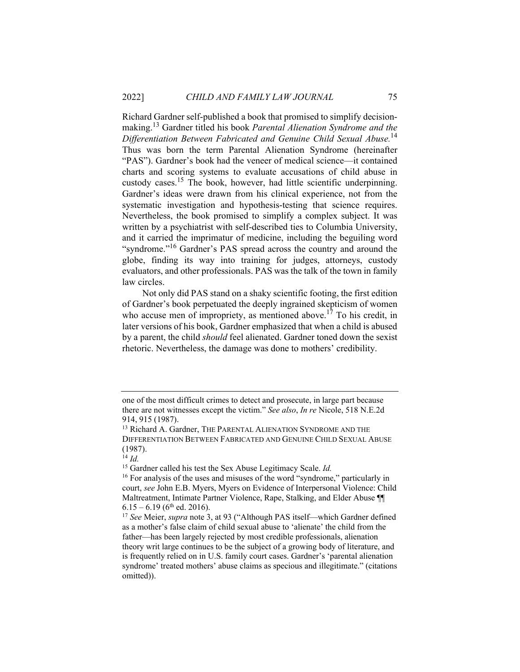Richard Gardner self-published a book that promised to simplify decisionmaking.13 Gardner titled his book *Parental Alienation Syndrome and the Differentiation Between Fabricated and Genuine Child Sexual Abuse.*<sup>14</sup> Thus was born the term Parental Alienation Syndrome (hereinafter "PAS"). Gardner's book had the veneer of medical science—it contained charts and scoring systems to evaluate accusations of child abuse in custody cases.15 The book, however, had little scientific underpinning. Gardner's ideas were drawn from his clinical experience, not from the systematic investigation and hypothesis-testing that science requires. Nevertheless, the book promised to simplify a complex subject. It was written by a psychiatrist with self-described ties to Columbia University, and it carried the imprimatur of medicine, including the beguiling word "syndrome."<sup>16</sup> Gardner's PAS spread across the country and around the globe, finding its way into training for judges, attorneys, custody evaluators, and other professionals. PAS was the talk of the town in family law circles.

Not only did PAS stand on a shaky scientific footing, the first edition of Gardner's book perpetuated the deeply ingrained skepticism of women who accuse men of impropriety, as mentioned above.<sup>17</sup> To his credit, in later versions of his book, Gardner emphasized that when a child is abused by a parent, the child *should* feel alienated. Gardner toned down the sexist rhetoric. Nevertheless, the damage was done to mothers' credibility.

one of the most difficult crimes to detect and prosecute, in large part because there are not witnesses except the victim." *See also*, *In re* Nicole, 518 N.E.2d 914, 915 (1987).

<sup>&</sup>lt;sup>13</sup> Richard A. Gardner, THE PARENTAL ALIENATION SYNDROME AND THE DIFFERENTIATION BETWEEN FABRICATED AND GENUINE CHILD SEXUAL ABUSE (1987).

 $^{14}$  *Id.* 

<sup>&</sup>lt;sup>15</sup> Gardner called his test the Sex Abuse Legitimacy Scale. *Id.* 

 $16$  For analysis of the uses and misuses of the word "syndrome," particularly in court, *see* John E.B. Myers, Myers on Evidence of Interpersonal Violence: Child Maltreatment, Intimate Partner Violence, Rape, Stalking, and Elder Abuse ¶¶  $6.15 - 6.19$  (6<sup>th</sup> ed. 2016).

<sup>17</sup> *See* Meier, *supra* note 3, at 93 ("Although PAS itself—which Gardner defined as a mother's false claim of child sexual abuse to 'alienate' the child from the father—has been largely rejected by most credible professionals, alienation theory writ large continues to be the subject of a growing body of literature, and is frequently relied on in U.S. family court cases. Gardner's 'parental alienation syndrome' treated mothers' abuse claims as specious and illegitimate." (citations omitted)).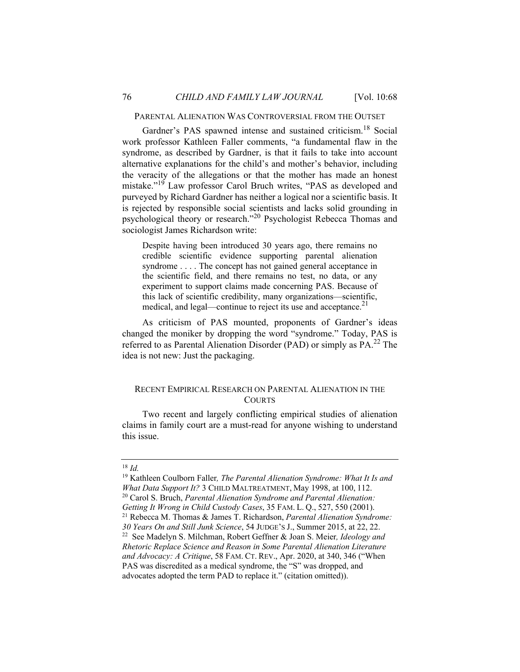#### PARENTAL ALIENATION WAS CONTROVERSIAL FROM THE OUTSET

Gardner's PAS spawned intense and sustained criticism.<sup>18</sup> Social work professor Kathleen Faller comments, "a fundamental flaw in the syndrome, as described by Gardner, is that it fails to take into account alternative explanations for the child's and mother's behavior, including the veracity of the allegations or that the mother has made an honest mistake."<sup>19</sup> Law professor Carol Bruch writes, "PAS as developed and purveyed by Richard Gardner has neither a logical nor a scientific basis. It is rejected by responsible social scientists and lacks solid grounding in psychological theory or research."20 Psychologist Rebecca Thomas and sociologist James Richardson write:

Despite having been introduced 30 years ago, there remains no credible scientific evidence supporting parental alienation syndrome . . . . The concept has not gained general acceptance in the scientific field, and there remains no test, no data, or any experiment to support claims made concerning PAS. Because of this lack of scientific credibility, many organizations—scientific, medical, and legal—continue to reject its use and acceptance. $21$ 

As criticism of PAS mounted, proponents of Gardner's ideas changed the moniker by dropping the word "syndrome." Today, PAS is referred to as Parental Alienation Disorder (PAD) or simply as  $PA<sup>22</sup>$ . The idea is not new: Just the packaging.

#### RECENT EMPIRICAL RESEARCH ON PARENTAL ALIENATION IN THE COURTS

Two recent and largely conflicting empirical studies of alienation claims in family court are a must-read for anyone wishing to understand this issue.

#### <sup>18</sup> *Id.*

<sup>19</sup> Kathleen Coulborn Faller*, The Parental Alienation Syndrome: What It Is and What Data Support It?* 3 CHILD MALTREATMENT, May 1998, at 100, 112. 20 Carol S. Bruch, *Parental Alienation Syndrome and Parental Alienation: Getting It Wrong in Child Custody Cases*, 35 FAM. L. Q., 527, 550 (2001). 21 Rebecca M. Thomas & James T. Richardson, *Parental Alienation Syndrome: 30 Years On and Still Junk Science*, 54 JUDGE's J., Summer 2015, at 22, 22.<br><sup>22</sup> See Madelyn S. Milchman, Robert Geffner & Joan S. Meier, *Ideology and Rhetoric Replace Science and Reason in Some Parental Alienation Literature and Advocacy: A Critique*, 58 FAM. CT. REV., Apr. 2020, at 340, 346 ("When PAS was discredited as a medical syndrome, the "S" was dropped, and advocates adopted the term PAD to replace it." (citation omitted)).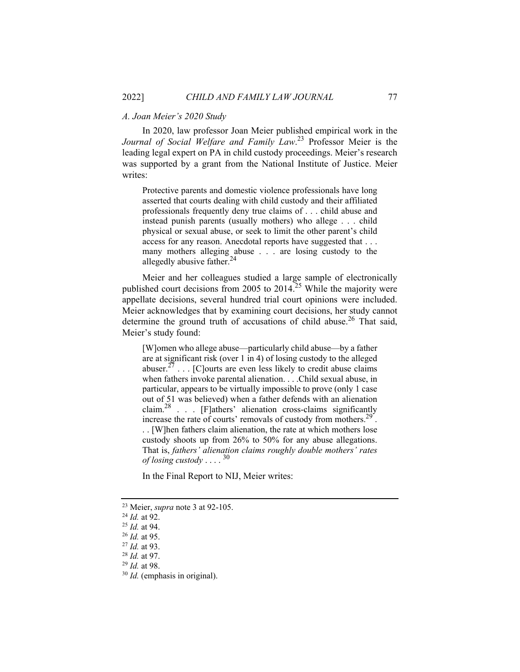#### *A. Joan Meier's 2020 Study*

In 2020, law professor Joan Meier published empirical work in the *Journal of Social Welfare and Family Law*. 23 Professor Meier is the leading legal expert on PA in child custody proceedings. Meier's research was supported by a grant from the National Institute of Justice. Meier writes:

Protective parents and domestic violence professionals have long asserted that courts dealing with child custody and their affiliated professionals frequently deny true claims of . . . child abuse and instead punish parents (usually mothers) who allege . . . child physical or sexual abuse, or seek to limit the other parent's child access for any reason. Anecdotal reports have suggested that . . . many mothers alleging abuse . . . are losing custody to the allegedly abusive father. $^{24}$ 

Meier and her colleagues studied a large sample of electronically published court decisions from 2005 to  $2014<sup>25</sup>$  While the majority were appellate decisions, several hundred trial court opinions were included. Meier acknowledges that by examining court decisions, her study cannot determine the ground truth of accusations of child abuse.<sup>26</sup> That said, Meier's study found:

[W]omen who allege abuse—particularly child abuse—by a father are at significant risk (over 1 in 4) of losing custody to the alleged abuser.<sup>27</sup> . . . [C] ourts are even less likely to credit abuse claims when fathers invoke parental alienation. . . .Child sexual abuse, in particular, appears to be virtually impossible to prove (only 1 case out of 51 was believed) when a father defends with an alienation claim.<sup>28</sup> . . . [F]athers' alienation cross-claims significantly increase the rate of courts' removals of custody from mothers. $2^9$ . . . [W]hen fathers claim alienation, the rate at which mothers lose custody shoots up from 26% to 50% for any abuse allegations. That is, *fathers' alienation claims roughly double mothers' rates of losing custody* . . . . 30

In the Final Report to NIJ, Meier writes:

<sup>&</sup>lt;sup>23</sup> Meier, *supra* note 3 at 92-105.<br><sup>24</sup> Id. at 92.

<sup>&</sup>lt;sup>25</sup> *Id.* at 94.<br><sup>26</sup> *Id.* at 95.<br><sup>27</sup> *Id.* at 93.<br><sup>28</sup> *Id.* at 98.<br><sup>30</sup> *Id.* (emphasis in original).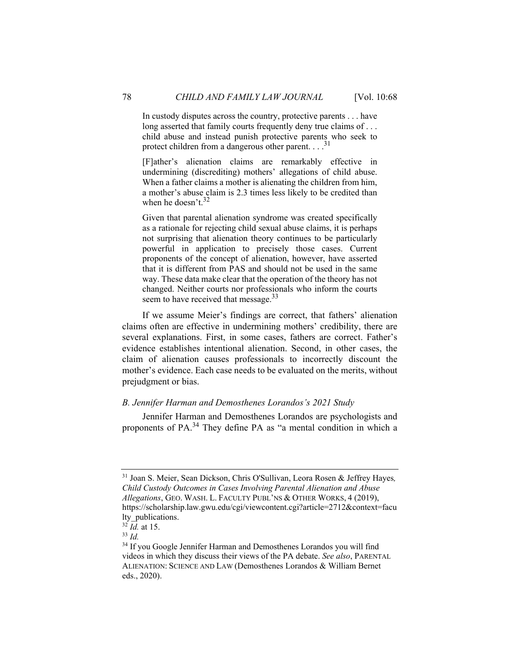In custody disputes across the country, protective parents . . . have long asserted that family courts frequently deny true claims of . . . child abuse and instead punish protective parents who seek to protect children from a dangerous other parent.  $\ldots$ <sup>31</sup>

[F]ather's alienation claims are remarkably effective in undermining (discrediting) mothers' allegations of child abuse. When a father claims a mother is alienating the children from him, a mother's abuse claim is 2.3 times less likely to be credited than when he doesn't. $32$ 

Given that parental alienation syndrome was created specifically as a rationale for rejecting child sexual abuse claims, it is perhaps not surprising that alienation theory continues to be particularly powerful in application to precisely those cases. Current proponents of the concept of alienation, however, have asserted that it is different from PAS and should not be used in the same way. These data make clear that the operation of the theory has not changed. Neither courts nor professionals who inform the courts seem to have received that message.<sup>33</sup>

If we assume Meier's findings are correct, that fathers' alienation claims often are effective in undermining mothers' credibility, there are several explanations. First, in some cases, fathers are correct. Father's evidence establishes intentional alienation. Second, in other cases, the claim of alienation causes professionals to incorrectly discount the mother's evidence. Each case needs to be evaluated on the merits, without prejudgment or bias.

#### *B. Jennifer Harman and Demosthenes Lorandos's 2021 Study*

Jennifer Harman and Demosthenes Lorandos are psychologists and proponents of PA.34 They define PA as "a mental condition in which a

<sup>31</sup> Joan S. Meier, Sean Dickson, Chris O'Sullivan, Leora Rosen & Jeffrey Hayes*, Child Custody Outcomes in Cases Involving Parental Alienation and Abuse Allegations*, GEO. WASH. L. FACULTY PUBL'NS & OTHER WORKS, 4 (2019), https://scholarship.law.gwu.edu/cgi/viewcontent.cgi?article=2712&context=facu lty\_publications.

<sup>32</sup> *Id.* at 15. 33 *Id.*

<sup>&</sup>lt;sup>34</sup> If you Google Jennifer Harman and Demosthenes Lorandos you will find videos in which they discuss their views of the PA debate. *See also*, PARENTAL ALIENATION: SCIENCE AND LAW (Demosthenes Lorandos & William Bernet eds., 2020).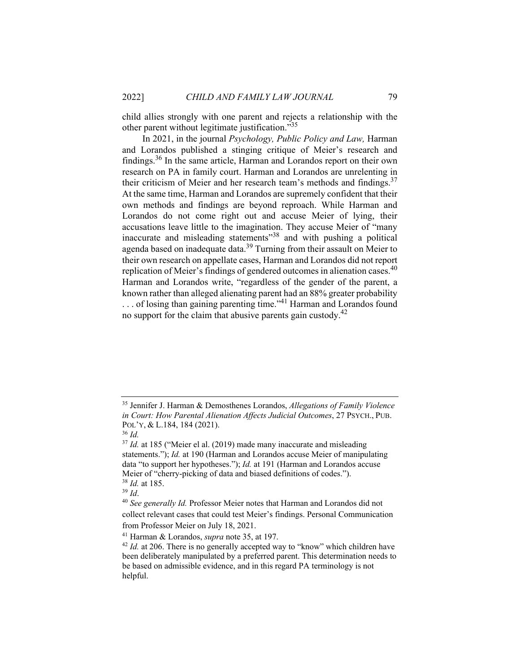child allies strongly with one parent and rejects a relationship with the other parent without legitimate justification."<sup>35</sup>

In 2021, in the journal *Psychology, Public Policy and Law,* Harman and Lorandos published a stinging critique of Meier's research and findings.36 In the same article, Harman and Lorandos report on their own research on PA in family court. Harman and Lorandos are unrelenting in their criticism of Meier and her research team's methods and findings.<sup>37</sup> At the same time, Harman and Lorandos are supremely confident that their own methods and findings are beyond reproach. While Harman and Lorandos do not come right out and accuse Meier of lying, their accusations leave little to the imagination. They accuse Meier of "many inaccurate and misleading statements"<sup>38</sup> and with pushing a political agenda based on inadequate data.<sup>39</sup> Turning from their assault on Meier to their own research on appellate cases, Harman and Lorandos did not report replication of Meier's findings of gendered outcomes in alienation cases.<sup>40</sup> Harman and Lorandos write, "regardless of the gender of the parent, a known rather than alleged alienating parent had an 88% greater probability ... of losing than gaining parenting time."<sup>41</sup> Harman and Lorandos found no support for the claim that abusive parents gain custody. $42$ 

<sup>39</sup> *Id. At 185. 39 <i>Id.* at 185. 39 *Id.* 40 *See generally Id.* Professor Meier notes that Harman and Lorandos did not collect relevant cases that could test Meier's findings. Personal Communication from Professor Meier on July 18, 2021.

<sup>35</sup> Jennifer J. Harman & Demosthenes Lorandos, *Allegations of Family Violence in Court: How Parental Alienation Affects Judicial Outcomes*, 27 PSYCH., PUB. POL'Y, & L.184, 184 (2021). 36 *Id.*<sup>37</sup> *Id.* at 185 ("Meier el al. (2019) made many inaccurate and misleading

statements."); *Id.* at 190 (Harman and Lorandos accuse Meier of manipulating data "to support her hypotheses."); *Id.* at 191 (Harman and Lorandos accuse Meier of "cherry-picking of data and biased definitions of codes.").<br><sup>38</sup> *Id.* at 185.

<sup>&</sup>lt;sup>41</sup> Harman & Lorandos, *supra* note 35, at 197.<br><sup>42</sup> *Id.* at 206. There is no generally accepted way to "know" which children have been deliberately manipulated by a preferred parent. This determination needs to be based on admissible evidence, and in this regard PA terminology is not helpful.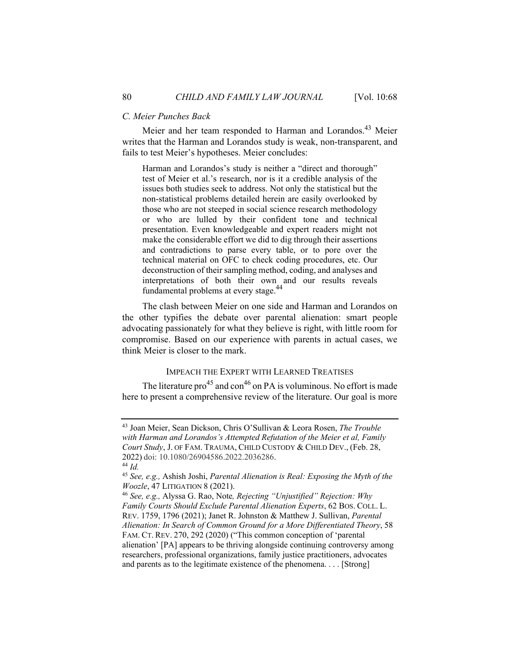#### *C. Meier Punches Back*

Meier and her team responded to Harman and Lorandos.<sup>43</sup> Meier writes that the Harman and Lorandos study is weak, non-transparent, and fails to test Meier's hypotheses. Meier concludes:

Harman and Lorandos's study is neither a "direct and thorough" test of Meier et al.'s research, nor is it a credible analysis of the issues both studies seek to address. Not only the statistical but the non-statistical problems detailed herein are easily overlooked by those who are not steeped in social science research methodology or who are lulled by their confident tone and technical presentation. Even knowledgeable and expert readers might not make the considerable effort we did to dig through their assertions and contradictions to parse every table, or to pore over the technical material on OFC to check coding procedures, etc. Our deconstruction of their sampling method, coding, and analyses and interpretations of both their own and our results reveals fundamental problems at every stage.<sup>44</sup>

The clash between Meier on one side and Harman and Lorandos on the other typifies the debate over parental alienation: smart people advocating passionately for what they believe is right, with little room for compromise. Based on our experience with parents in actual cases, we think Meier is closer to the mark.

#### IMPEACH THE EXPERT WITH LEARNED TREATISES

The literature  $\text{pro}^{45}$  and  $\text{con}^{46}$  on PA is voluminous. No effort is made here to present a comprehensive review of the literature. Our goal is more

<sup>43</sup> Joan Meier, Sean Dickson, Chris O'Sullivan & Leora Rosen, *The Trouble with Harman and Lorandos's Attempted Refutation of the Meier et al, Family Court Study*, J. OF FAM. TRAUMA, CHILD CUSTODY & CHILD DEV., (Feb. 28, 2022) doi: 10.1080/26904586.2022.2036286. <sup>44</sup> *Id.*

<sup>45</sup> *See, e.g.,* Ashish Joshi, *Parental Alienation is Real: Exposing the Myth of the Woozle*, 47 LITIGATION 8 (2021).<br><sup>46</sup> *See, e.g., Alyssa G. Rao, Note, Rejecting "Unjustified" Rejection: Why* 

*Family Courts Should Exclude Parental Alienation Experts*, 62 BOS. COLL. L. REV. 1759, 1796 (2021); Janet R. Johnston & Matthew J. Sullivan, *Parental Alienation: In Search of Common Ground for a More Differentiated Theory*, 58 FAM. CT. REV. 270, 292 (2020) ("This common conception of 'parental alienation' [PA] appears to be thriving alongside continuing controversy among researchers, professional organizations, family justice practitioners, advocates and parents as to the legitimate existence of the phenomena. . . . [Strong]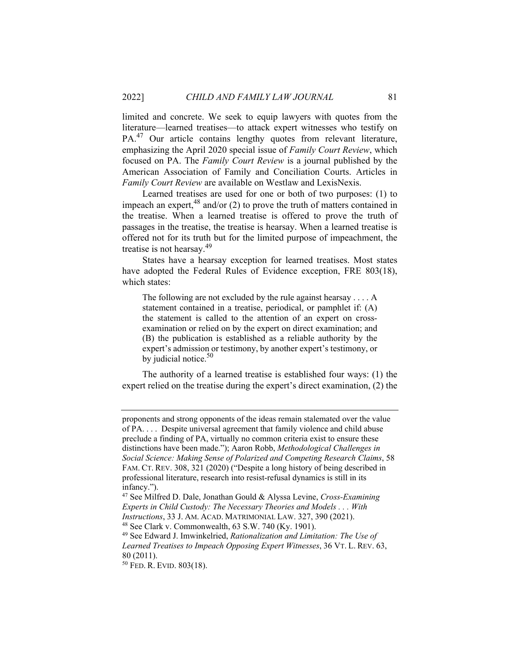limited and concrete. We seek to equip lawyers with quotes from the literature—learned treatises—to attack expert witnesses who testify on PA.<sup>47</sup> Our article contains lengthy quotes from relevant literature, emphasizing the April 2020 special issue of *Family Court Review*, which focused on PA. The *Family Court Review* is a journal published by the American Association of Family and Conciliation Courts. Articles in *Family Court Review* are available on Westlaw and LexisNexis.

Learned treatises are used for one or both of two purposes: (1) to impeach an expert, $48$  and/or (2) to prove the truth of matters contained in the treatise. When a learned treatise is offered to prove the truth of passages in the treatise, the treatise is hearsay. When a learned treatise is offered not for its truth but for the limited purpose of impeachment, the treatise is not hearsay.<sup>49</sup>

States have a hearsay exception for learned treatises. Most states have adopted the Federal Rules of Evidence exception, FRE 803(18), which states:

The following are not excluded by the rule against hearsay . . . . A statement contained in a treatise, periodical, or pamphlet if: (A) the statement is called to the attention of an expert on crossexamination or relied on by the expert on direct examination; and (B) the publication is established as a reliable authority by the expert's admission or testimony, by another expert's testimony, or by judicial notice.<sup>50</sup>

The authority of a learned treatise is established four ways: (1) the expert relied on the treatise during the expert's direct examination, (2) the

proponents and strong opponents of the ideas remain stalemated over the value of PA. . . . Despite universal agreement that family violence and child abuse preclude a finding of PA, virtually no common criteria exist to ensure these distinctions have been made."); Aaron Robb, *Methodological Challenges in Social Science: Making Sense of Polarized and Competing Research Claims*, 58 FAM. CT. REV. 308, 321 (2020) ("Despite a long history of being described in professional literature, research into resist-refusal dynamics is still in its infancy.").

<sup>47</sup> See Milfred D. Dale, Jonathan Gould & Alyssa Levine, *Cross-Examining Experts in Child Custody: The Necessary Theories and Models . . . With Instructions*, 33 J. AM. ACAD. MATRIMONIAL LAW. 327, 390 (2021).

 $48$  See Clark v. Commonwealth, 63 S.W. 740 (Ky. 1901).

<sup>49</sup> See Edward J. Imwinkelried, *Rationalization and Limitation: The Use of Learned Treatises to Impeach Opposing Expert Witnesses*, 36 VT. L. REV. 63, 80 (2011).

<sup>50</sup> FED. R. EVID. 803(18).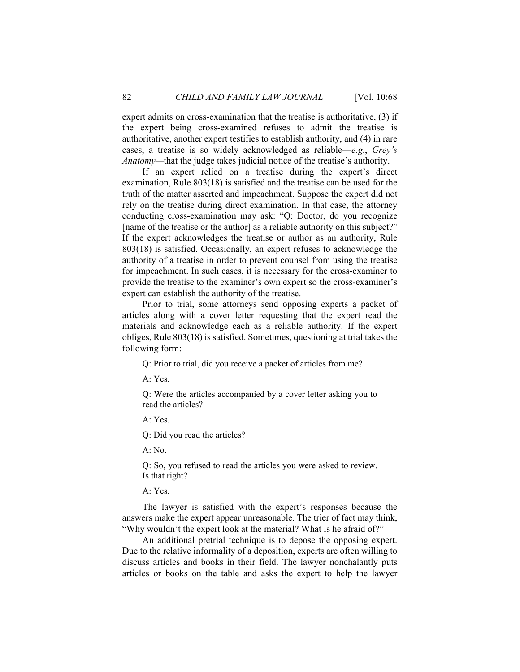expert admits on cross-examination that the treatise is authoritative, (3) if the expert being cross-examined refuses to admit the treatise is authoritative, another expert testifies to establish authority, and (4) in rare cases, a treatise is so widely acknowledged as reliable—*e.g*., *Grey's Anatomy—*that the judge takes judicial notice of the treatise's authority.

If an expert relied on a treatise during the expert's direct examination, Rule 803(18) is satisfied and the treatise can be used for the truth of the matter asserted and impeachment. Suppose the expert did not rely on the treatise during direct examination. In that case, the attorney conducting cross-examination may ask: "Q: Doctor, do you recognize [name of the treatise or the author] as a reliable authority on this subject?" If the expert acknowledges the treatise or author as an authority, Rule 803(18) is satisfied. Occasionally, an expert refuses to acknowledge the authority of a treatise in order to prevent counsel from using the treatise for impeachment. In such cases, it is necessary for the cross-examiner to provide the treatise to the examiner's own expert so the cross-examiner's expert can establish the authority of the treatise.

Prior to trial, some attorneys send opposing experts a packet of articles along with a cover letter requesting that the expert read the materials and acknowledge each as a reliable authority. If the expert obliges, Rule 803(18) is satisfied. Sometimes, questioning at trial takes the following form:

Q: Prior to trial, did you receive a packet of articles from me?

A: Yes.

Q: Were the articles accompanied by a cover letter asking you to read the articles?

 $A \cdot Yes$ 

Q: Did you read the articles?

A: No.

Q: So, you refused to read the articles you were asked to review. Is that right?

A: Yes.

The lawyer is satisfied with the expert's responses because the answers make the expert appear unreasonable. The trier of fact may think, "Why wouldn't the expert look at the material? What is he afraid of?"

An additional pretrial technique is to depose the opposing expert. Due to the relative informality of a deposition, experts are often willing to discuss articles and books in their field. The lawyer nonchalantly puts articles or books on the table and asks the expert to help the lawyer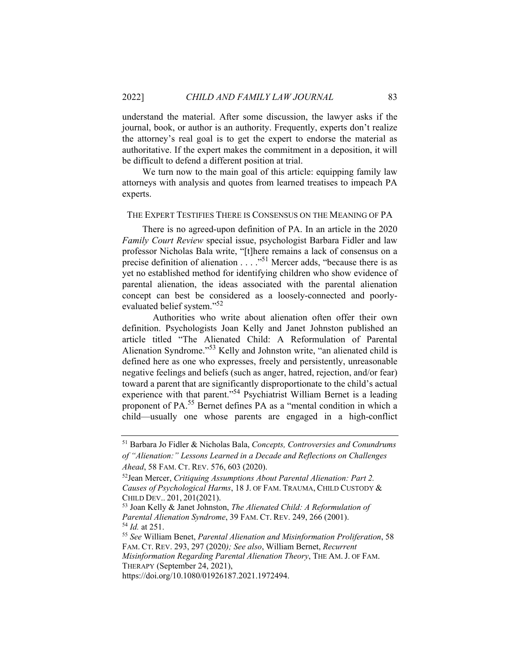understand the material. After some discussion, the lawyer asks if the journal, book, or author is an authority. Frequently, experts don't realize the attorney's real goal is to get the expert to endorse the material as authoritative. If the expert makes the commitment in a deposition, it will be difficult to defend a different position at trial.

We turn now to the main goal of this article: equipping family law attorneys with analysis and quotes from learned treatises to impeach PA experts.

#### THE EXPERT TESTIFIES THERE IS CONSENSUS ON THE MEANING OF PA

There is no agreed-upon definition of PA. In an article in the 2020 *Family Court Review* special issue, psychologist Barbara Fidler and law professor Nicholas Bala write, "[t]here remains a lack of consensus on a precise definition of alienation . . . ."51 Mercer adds, "because there is as yet no established method for identifying children who show evidence of parental alienation, the ideas associated with the parental alienation concept can best be considered as a loosely-connected and poorlyevaluated belief system."52

 Authorities who write about alienation often offer their own definition. Psychologists Joan Kelly and Janet Johnston published an article titled "The Alienated Child: A Reformulation of Parental Alienation Syndrome."<sup>53</sup> Kelly and Johnston write, "an alienated child is defined here as one who expresses, freely and persistently, unreasonable negative feelings and beliefs (such as anger, hatred, rejection, and/or fear) toward a parent that are significantly disproportionate to the child's actual experience with that parent."54 Psychiatrist William Bernet is a leading proponent of PA.55 Bernet defines PA as a "mental condition in which a child—usually one whose parents are engaged in a high-conflict

<sup>51</sup> Barbara Jo Fidler & Nicholas Bala, *Concepts, Controversies and Conundrums of "Alienation:" Lessons Learned in a Decade and Reflections on Challenges* 

*Ahead*, 58 FAM. CT. REV. 576, 603 (2020).<br><sup>52</sup>Jean Mercer, *Critiquing Assumptions About Parental Alienation: Part 2. Causes of Psychological Harms*, 18 J. OF FAM. TRAUMA, CHILD CUSTODY & CHILD DEV.. 201, 201(2021). 53 Joan Kelly & Janet Johnston, *The Alienated Child: A Reformulation of* 

*Parental Alienation Syndrome*, 39 FAM. CT. REV. 249, 266 (2001). 54 *Id.* at 251. 55 *See* William Benet, *Parental Alienation and Misinformation Proliferation*, 58

FAM. CT. REV. 293, 297 (2020*); See also*, William Bernet, *Recurrent Misinformation Regarding Parental Alienation Theory*, THE AM. J. OF FAM.

THERAPY (September 24, 2021),

https://doi.org/10.1080/01926187.2021.1972494.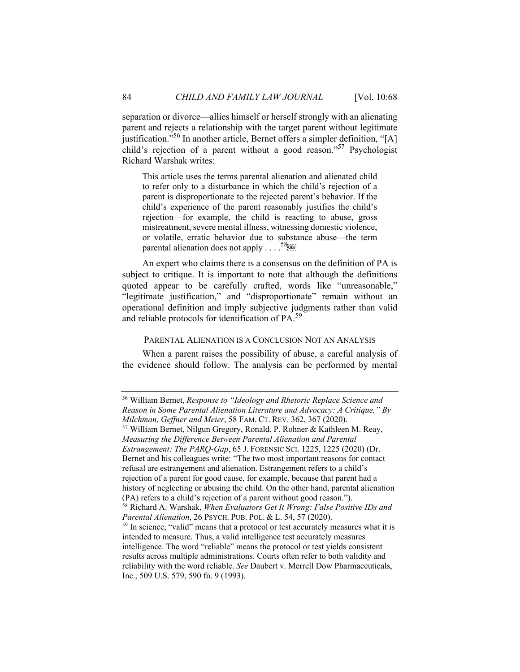separation or divorce—allies himself or herself strongly with an alienating parent and rejects a relationship with the target parent without legitimate justification."<sup>56</sup> In another article, Bernet offers a simpler definition, "[A] child's rejection of a parent without a good reason."<sup>57</sup> Psychologist Richard Warshak writes:

This article uses the terms parental alienation and alienated child to refer only to a disturbance in which the child's rejection of a parent is disproportionate to the rejected parent's behavior. If the child's experience of the parent reasonably justifies the child's rejection—for example, the child is reacting to abuse, gross mistreatment, severe mental illness, witnessing domestic violence, or volatile, erratic behavior due to substance abuse—the term parental alienation does not apply  $\ldots$ .<sup>58</sup><sup>[08]</sup>

An expert who claims there is a consensus on the definition of PA is subject to critique. It is important to note that although the definitions quoted appear to be carefully crafted, words like "unreasonable," "legitimate justification," and "disproportionate" remain without an operational definition and imply subjective judgments rather than valid and reliable protocols for identification of PA.<sup>59</sup>

#### PARENTAL ALIENATION IS A CONCLUSION NOT AN ANALYSIS

When a parent raises the possibility of abuse, a careful analysis of the evidence should follow. The analysis can be performed by mental

<sup>56</sup> William Bernet, *Response to "Ideology and Rhetoric Replace Science and Reason in Some Parental Alienation Literature and Advocacy: A Critique," By Milchman, Geffner and Meier*, 58 FAM. CT. REV. 362, 367 (2020). 57 William Bernet, Nilgun Gregory, Ronald, P. Rohner & Kathleen M. Reay, *Measuring the Difference Between Parental Alienation and Parental Estrangement: The PARQ-Gap*, 65 J. FORENSIC SCI. 1225, 1225 (2020) (Dr. Bernet and his colleagues write: "The two most important reasons for contact refusal are estrangement and alienation. Estrangement refers to a child's rejection of a parent for good cause, for example, because that parent had a history of neglecting or abusing the child. On the other hand, parental alienation (PA) refers to a child's rejection of a parent without good reason."). 58 Richard A. Warshak, *When Evaluators Get It Wrong: False Positive IDs and Parental Alienation*, 26 PSYCH. PUB. POL. & L. 54, 57 (2020).<br><sup>59</sup> In science, "valid" means that a protocol or test accurately measures what it is intended to measure. Thus, a valid intelligence test accurately measures intelligence. The word "reliable" means the protocol or test yields consistent results across multiple administrations. Courts often refer to both validity and reliability with the word reliable. *See* Daubert v. Merrell Dow Pharmaceuticals, Inc., 509 U.S. 579, 590 fn. 9 (1993).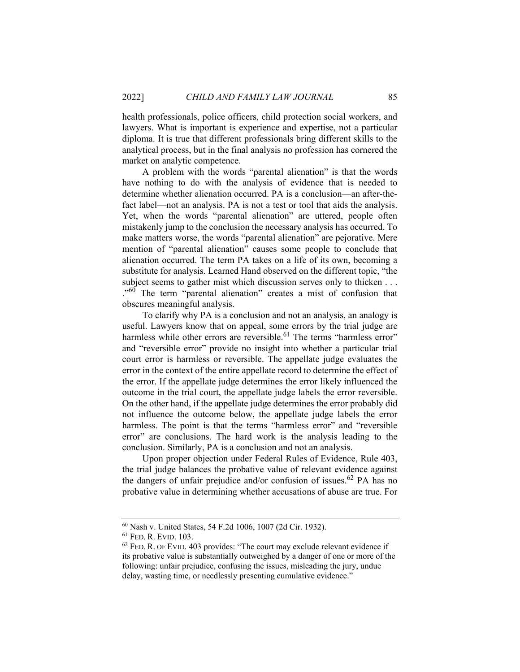health professionals, police officers, child protection social workers, and lawyers. What is important is experience and expertise, not a particular diploma. It is true that different professionals bring different skills to the analytical process, but in the final analysis no profession has cornered the market on analytic competence.

A problem with the words "parental alienation" is that the words have nothing to do with the analysis of evidence that is needed to determine whether alienation occurred. PA is a conclusion—an after-thefact label—not an analysis. PA is not a test or tool that aids the analysis. Yet, when the words "parental alienation" are uttered, people often mistakenly jump to the conclusion the necessary analysis has occurred. To make matters worse, the words "parental alienation" are pejorative. Mere mention of "parental alienation" causes some people to conclude that alienation occurred. The term PA takes on a life of its own, becoming a substitute for analysis. Learned Hand observed on the different topic, "the subject seems to gather mist which discussion serves only to thicken . . . ."<sup>60</sup> The term "parental alienation" creates a mist of confusion that obscures meaningful analysis.

To clarify why PA is a conclusion and not an analysis, an analogy is useful. Lawyers know that on appeal, some errors by the trial judge are harmless while other errors are reversible.<sup>61</sup> The terms "harmless error" and "reversible error" provide no insight into whether a particular trial court error is harmless or reversible. The appellate judge evaluates the error in the context of the entire appellate record to determine the effect of the error. If the appellate judge determines the error likely influenced the outcome in the trial court, the appellate judge labels the error reversible. On the other hand, if the appellate judge determines the error probably did not influence the outcome below, the appellate judge labels the error harmless. The point is that the terms "harmless error" and "reversible error" are conclusions. The hard work is the analysis leading to the conclusion. Similarly, PA is a conclusion and not an analysis.

Upon proper objection under Federal Rules of Evidence, Rule 403, the trial judge balances the probative value of relevant evidence against the dangers of unfair prejudice and/or confusion of issues.<sup>62</sup> PA has no probative value in determining whether accusations of abuse are true. For

<sup>60</sup> Nash v. United States, 54 F.2d 1006, 1007 (2d Cir. 1932).

 $62$  FED. R. OF EVID. 403 provides: "The court may exclude relevant evidence if its probative value is substantially outweighed by a danger of one or more of the following: unfair prejudice, confusing the issues, misleading the jury, undue delay, wasting time, or needlessly presenting cumulative evidence."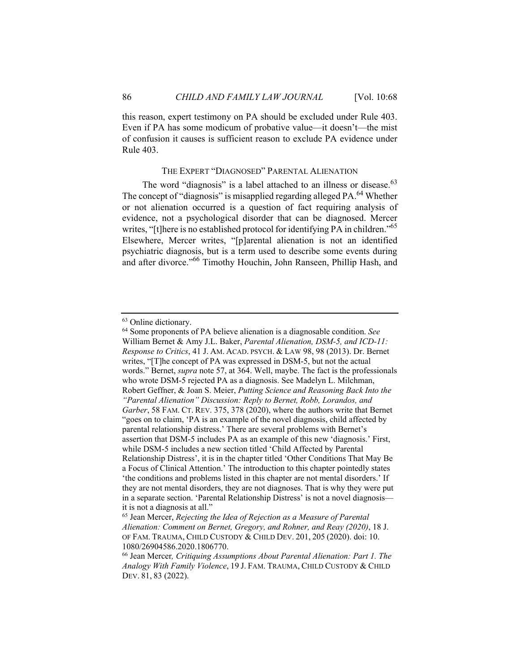this reason, expert testimony on PA should be excluded under Rule 403. Even if PA has some modicum of probative value—it doesn't—the mist of confusion it causes is sufficient reason to exclude PA evidence under Rule 403.

#### THE EXPERT "DIAGNOSED" PARENTAL ALIENATION

The word "diagnosis" is a label attached to an illness or disease.  $63$ The concept of "diagnosis" is misapplied regarding alleged PA.<sup>64</sup> Whether or not alienation occurred is a question of fact requiring analysis of evidence, not a psychological disorder that can be diagnosed. Mercer writes, "[t]here is no established protocol for identifying PA in children."<sup>65</sup> Elsewhere, Mercer writes, "[p]arental alienation is not an identified psychiatric diagnosis, but is a term used to describe some events during and after divorce."66 Timothy Houchin, John Ranseen, Phillip Hash, and

<sup>63</sup> Online dictionary.

<sup>64</sup> Some proponents of PA believe alienation is a diagnosable condition. *See* William Bernet & Amy J.L. Baker, *Parental Alienation, DSM-5, and ICD-11: Response to Critics*, 41 J. AM. ACAD. PSYCH. & LAW 98, 98 (2013). Dr. Bernet writes, "[T]he concept of PA was expressed in DSM-5, but not the actual words." Bernet, *supra* note 57, at 364. Well, maybe. The fact is the professionals who wrote DSM-5 rejected PA as a diagnosis. See Madelyn L. Milchman, Robert Geffner, & Joan S. Meier, *Putting Science and Reasoning Back Into the "Parental Alienation" Discussion: Reply to Bernet, Robb, Lorandos, and Garber*, 58 FAM. CT. REV. 375, 378 (2020), where the authors write that Bernet "goes on to claim, 'PA is an example of the novel diagnosis, child affected by parental relationship distress.' There are several problems with Bernet's assertion that DSM-5 includes PA as an example of this new 'diagnosis.' First, while DSM-5 includes a new section titled 'Child Affected by Parental Relationship Distress', it is in the chapter titled 'Other Conditions That May Be a Focus of Clinical Attention.' The introduction to this chapter pointedly states 'the conditions and problems listed in this chapter are not mental disorders.' If they are not mental disorders, they are not diagnoses. That is why they were put in a separate section. 'Parental Relationship Distress' is not a novel diagnosis it is not a diagnosis at all."

<sup>65</sup> Jean Mercer, *Rejecting the Idea of Rejection as a Measure of Parental Alienation: Comment on Bernet, Gregory, and Rohner, and Reay (2020)*, 18 J. OF FAM. TRAUMA, CHILD CUSTODY & CHILD DEV. 201, 205 (2020). doi: 10. 1080/26904586.2020.1806770.

<sup>66</sup> Jean Mercer*, Critiquing Assumptions About Parental Alienation: Part 1. The Analogy With Family Violence*, 19 J. FAM. TRAUMA, CHILD CUSTODY & CHILD DEV. 81, 83 (2022).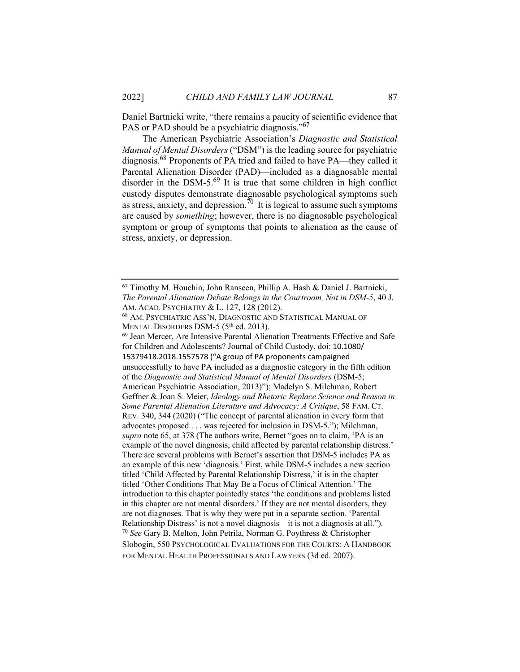Daniel Bartnicki write, "there remains a paucity of scientific evidence that PAS or PAD should be a psychiatric diagnosis."<sup>67</sup>

The American Psychiatric Association's *Diagnostic and Statistical Manual of Mental Disorders* ("DSM") is the leading source for psychiatric diagnosis.68 Proponents of PA tried and failed to have PA—they called it Parental Alienation Disorder (PAD)—included as a diagnosable mental disorder in the DSM-5.<sup>69</sup> It is true that some children in high conflict custody disputes demonstrate diagnosable psychological symptoms such as stress, anxiety, and depression.<sup>70</sup> It is logical to assume such symptoms are caused by *something*; however, there is no diagnosable psychological symptom or group of symptoms that points to alienation as the cause of stress, anxiety, or depression.

<sup>69</sup> Jean Mercer, Are Intensive Parental Alienation Treatments Effective and Safe for Children and Adolescents? Journal of Child Custody, doi: 10.1080/ 15379418.2018.1557578 ("A group of PA proponents campaigned unsuccessfully to have PA included as a diagnostic category in the fifth edition of the *Diagnostic and Statistical Manual of Mental Disorders* (DSM-5; American Psychiatric Association, 2013)"); Madelyn S. Milchman, Robert Geffner & Joan S. Meier, *Ideology and Rhetoric Replace Science and Reason in Some Parental Alienation Literature and Advocacy: A Critique*, 58 FAM. CT. REV. 340, 344 (2020) ("The concept of parental alienation in every form that advocates proposed . . . was rejected for inclusion in DSM-5."); Milchman, *supra* note 65, at 378 (The authors write, Bernet "goes on to claim, 'PA is an example of the novel diagnosis, child affected by parental relationship distress.' There are several problems with Bernet's assertion that DSM-5 includes PA as an example of this new 'diagnosis.' First, while DSM-5 includes a new section titled 'Child Affected by Parental Relationship Distress,' it is in the chapter titled 'Other Conditions That May Be a Focus of Clinical Attention.' The introduction to this chapter pointedly states 'the conditions and problems listed in this chapter are not mental disorders.' If they are not mental disorders, they are not diagnoses. That is why they were put in a separate section. 'Parental Relationship Distress' is not a novel diagnosis—it is not a diagnosis at all."). 70 *See* Gary B. Melton, John Petrila, Norman G. Poythress & Christopher Slobogin, 550 PSYCHOLOGICAL EVALUATIONS FOR THE COURTS: A HANDBOOK FOR MENTAL HEALTH PROFESSIONALS AND LAWYERS (3d ed. 2007).

<sup>67</sup> Timothy M. Houchin, John Ranseen, Phillip A. Hash & Daniel J. Bartnicki, *The Parental Alienation Debate Belongs in the Courtroom, Not in DSM-5*, 40 J.

AM. ACAD. PSYCHIATRY & L. 127, 128 (2012).<br><sup>68</sup> AM. PSYCHIATRIC ASS'N, DIAGNOSTIC AND STATISTICAL MANUAL OF MENTAL DISORDERS DSM-5 (5<sup>th</sup> ed. 2013).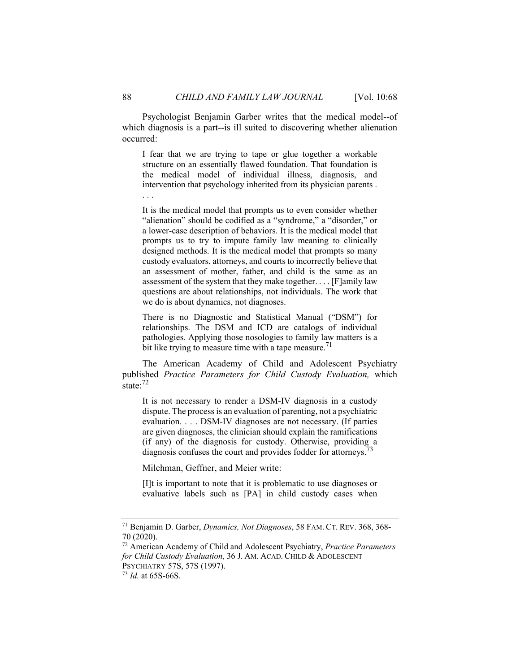Psychologist Benjamin Garber writes that the medical model--of which diagnosis is a part--is ill suited to discovering whether alienation occurred:

I fear that we are trying to tape or glue together a workable structure on an essentially flawed foundation. That foundation is the medical model of individual illness, diagnosis, and intervention that psychology inherited from its physician parents . . . .

It is the medical model that prompts us to even consider whether "alienation" should be codified as a "syndrome," a "disorder," or a lower-case description of behaviors. It is the medical model that prompts us to try to impute family law meaning to clinically designed methods. It is the medical model that prompts so many custody evaluators, attorneys, and courts to incorrectly believe that an assessment of mother, father, and child is the same as an assessment of the system that they make together. . . . [F]amily law questions are about relationships, not individuals. The work that we do is about dynamics, not diagnoses.

There is no Diagnostic and Statistical Manual ("DSM") for relationships. The DSM and ICD are catalogs of individual pathologies. Applying those nosologies to family law matters is a bit like trying to measure time with a tape measure.<sup>71</sup>

The American Academy of Child and Adolescent Psychiatry published *Practice Parameters for Child Custody Evaluation,* which state: $72$ 

It is not necessary to render a DSM-IV diagnosis in a custody dispute. The process is an evaluation of parenting, not a psychiatric evaluation. . . . DSM-IV diagnoses are not necessary. (If parties are given diagnoses, the clinician should explain the ramifications (if any) of the diagnosis for custody. Otherwise, providing a diagnosis confuses the court and provides fodder for attorneys.<sup>7</sup>

Milchman, Geffner, and Meier write:

[I]t is important to note that it is problematic to use diagnoses or evaluative labels such as [PA] in child custody cases when

<sup>71</sup> Benjamin D. Garber, *Dynamics, Not Diagnoses*, 58 FAM. CT. REV. 368, 368- 70 (2020).

<sup>72</sup> American Academy of Child and Adolescent Psychiatry, *Practice Parameters for Child Custody Evaluation*, 36 J. AM. ACAD. CHILD & ADOLESCENT PSYCHIATRY 57S, 57S (1997). 73 *Id.* at 65S-66S.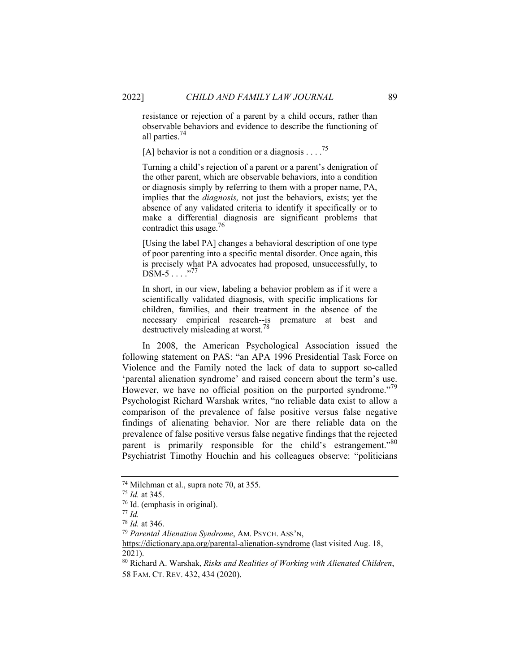resistance or rejection of a parent by a child occurs, rather than observable behaviors and evidence to describe the functioning of all parties.74

[A] behavior is not a condition or a diagnosis . . . .<sup>75</sup>

Turning a child's rejection of a parent or a parent's denigration of the other parent, which are observable behaviors, into a condition or diagnosis simply by referring to them with a proper name, PA, implies that the *diagnosis,* not just the behaviors, exists; yet the absence of any validated criteria to identify it specifically or to make a differential diagnosis are significant problems that contradict this usage.<sup>76</sup>

[Using the label PA] changes a behavioral description of one type of poor parenting into a specific mental disorder. Once again, this is precisely what PA advocates had proposed, unsuccessfully, to DSM-5 . . . . . . . 77

In short, in our view, labeling a behavior problem as if it were a scientifically validated diagnosis, with specific implications for children, families, and their treatment in the absence of the necessary empirical research--is premature at best and destructively misleading at worst.<sup>78</sup>

In 2008, the American Psychological Association issued the following statement on PAS: "an APA 1996 Presidential Task Force on Violence and the Family noted the lack of data to support so-called 'parental alienation syndrome' and raised concern about the term's use. However, we have no official position on the purported syndrome."<sup>79</sup> Psychologist Richard Warshak writes, "no reliable data exist to allow a comparison of the prevalence of false positive versus false negative findings of alienating behavior. Nor are there reliable data on the prevalence of false positive versus false negative findings that the rejected parent is primarily responsible for the child's estrangement."<sup>80</sup> Psychiatrist Timothy Houchin and his colleagues observe: "politicians

https://dictionary.apa.org/parental-alienation-syndrome (last visited Aug. 18, 2021).

<sup>&</sup>lt;sup>74</sup> Milchman et al., supra note 70, at 355.<br><sup>75</sup> *Id.* at 345.

<sup>&</sup>lt;sup>76</sup> Id. (emphasis in original).

<sup>77</sup> *Id.*

<sup>78</sup> *Id.* at 346. 79 *Parental Alienation Syndrome*, AM. PSYCH. ASS'N,

<sup>80</sup> Richard A. Warshak, *Risks and Realities of Working with Alienated Children*, 58 FAM. CT. REV. 432, 434 (2020).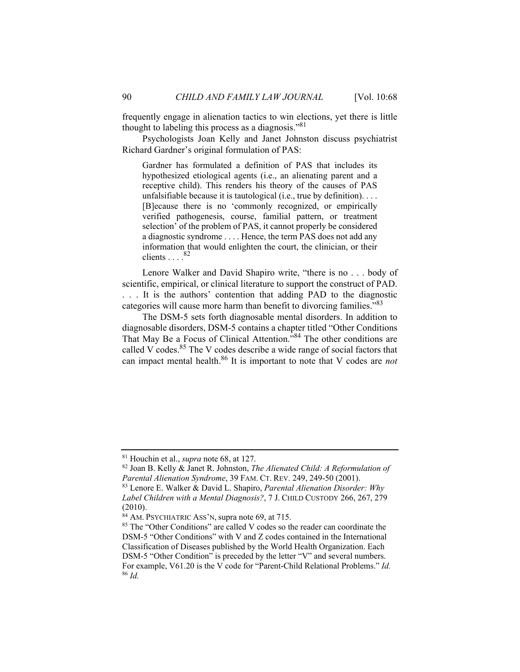frequently engage in alienation tactics to win elections, yet there is little thought to labeling this process as a diagnosis."<sup>81</sup>

Psychologists Joan Kelly and Janet Johnston discuss psychiatrist Richard Gardner's original formulation of PAS:

Gardner has formulated a definition of PAS that includes its hypothesized etiological agents (i.e., an alienating parent and a receptive child). This renders his theory of the causes of PAS unfalsifiable because it is tautological (i.e., true by definition). . . . [B]ecause there is no 'commonly recognized, or empirically verified pathogenesis, course, familial pattern, or treatment selection' of the problem of PAS, it cannot properly be considered a diagnostic syndrome . . . . Hence, the term PAS does not add any information that would enlighten the court, the clinician, or their clients  $\ldots$  . 82

Lenore Walker and David Shapiro write, "there is no . . . body of scientific, empirical, or clinical literature to support the construct of PAD. . . . It is the authors' contention that adding PAD to the diagnostic categories will cause more harm than benefit to divorcing families."<sup>83</sup>

The DSM-5 sets forth diagnosable mental disorders. In addition to diagnosable disorders, DSM-5 contains a chapter titled "Other Conditions That May Be a Focus of Clinical Attention."84 The other conditions are called V codes.<sup>85</sup> The V codes describe a wide range of social factors that can impact mental health.86 It is important to note that V codes are *not* 

<sup>&</sup>lt;sup>81</sup> Houchin et al., *supra* note 68, at 127.<br><sup>82</sup> Joan B. Kelly & Janet R. Johnston, *The Alienated Child: A Reformulation of Parental Alienation Syndrome*, 39 FAM. CT. REV. 249, 249-50 (2001). 83 Lenore E. Walker & David L. Shapiro, *Parental Alienation Disorder: Why Label Children with a Mental Diagnosis?*, 7 J. CHILD CUSTODY 266, 267, 279

<sup>(2010).&</sup>lt;br><sup>84</sup> AM. PSYCHIATRIC ASS'N, supra note 69, at 715.

<sup>&</sup>lt;sup>85</sup> The "Other Conditions" are called V codes so the reader can coordinate the DSM-5 "Other Conditions" with V and Z codes contained in the International Classification of Diseases published by the World Health Organization. Each DSM-5 "Other Condition" is preceded by the letter "V" and several numbers. For example, V61.20 is the V code for "Parent-Child Relational Problems." *Id.* <sup>86</sup> *Id.*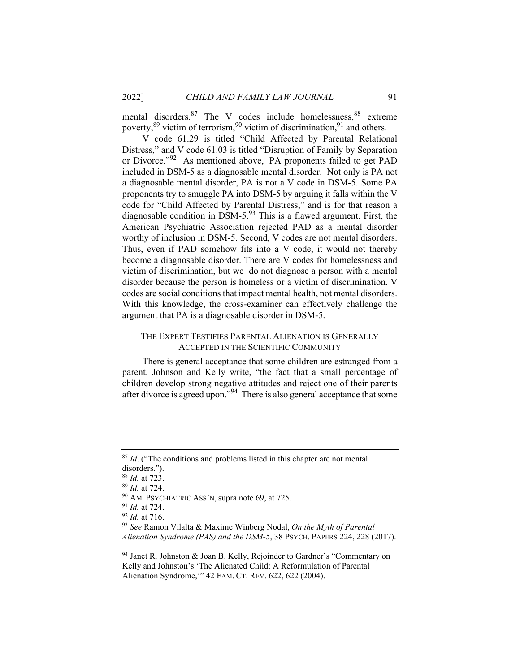mental disorders. $87$  The V codes include homelessness,  $88$  extreme poverty,  $89$  victim of terrorism,  $90$  victim of discrimination,  $91$  and others.

V code 61.29 is titled "Child Affected by Parental Relational Distress," and V code 61.03 is titled "Disruption of Family by Separation or Divorce."92 As mentioned above, PA proponents failed to get PAD included in DSM-5 as a diagnosable mental disorder. Not only is PA not a diagnosable mental disorder, PA is not a V code in DSM-5. Some PA proponents try to smuggle PA into DSM-5 by arguing it falls within the V code for "Child Affected by Parental Distress," and is for that reason a diagnosable condition in DSM-5.93 This is a flawed argument. First, the American Psychiatric Association rejected PAD as a mental disorder worthy of inclusion in DSM-5. Second, V codes are not mental disorders. Thus, even if PAD somehow fits into a V code, it would not thereby become a diagnosable disorder. There are V codes for homelessness and victim of discrimination, but we do not diagnose a person with a mental disorder because the person is homeless or a victim of discrimination. V codes are social conditions that impact mental health, not mental disorders. With this knowledge, the cross-examiner can effectively challenge the argument that PA is a diagnosable disorder in DSM-5.

#### THE EXPERT TESTIFIES PARENTAL ALIENATION IS GENERALLY ACCEPTED IN THE SCIENTIFIC COMMUNITY

There is general acceptance that some children are estranged from a parent. Johnson and Kelly write, "the fact that a small percentage of children develop strong negative attitudes and reject one of their parents after divorce is agreed upon."94 There is also general acceptance that some

<sup>&</sup>lt;sup>87</sup> *Id.* ("The conditions and problems listed in this chapter are not mental disorders.").<br> $88$  *Id.* at 723.

<sup>88</sup> *Id.* at 723. 89 *Id.* at 724. 90 AM. PSYCHIATRIC ASS'N, supra note 69, at 725. 91 *Id.* at 724. 92 *Id.* at 716. 93 *See* Ramon Vilalta & Maxime Winberg Nodal, *On the Myth of Parental Alienation Syndrome (PAS) and the DSM-5*, 38 PSYCH. PAPERS 224, 228 (2017).

<sup>&</sup>lt;sup>94</sup> Janet R. Johnston & Joan B. Kelly, Rejoinder to Gardner's "Commentary on Kelly and Johnston's 'The Alienated Child: A Reformulation of Parental Alienation Syndrome,'" 42 FAM. CT. REV. 622, 622 (2004).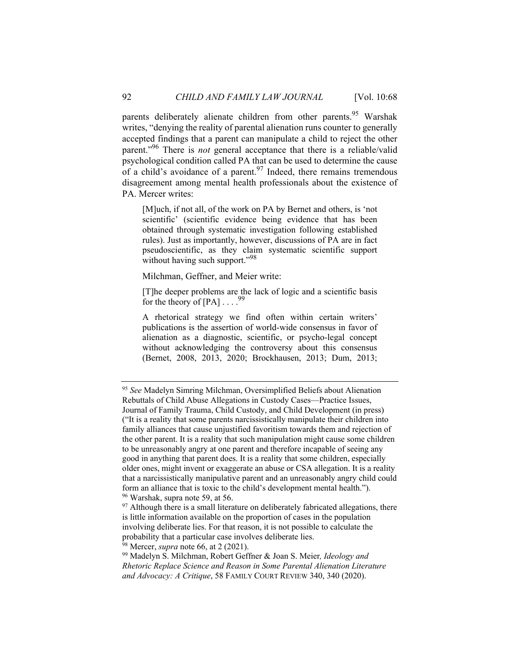parents deliberately alienate children from other parents.<sup>95</sup> Warshak writes, "denying the reality of parental alienation runs counter to generally accepted findings that a parent can manipulate a child to reject the other parent."96 There is *not* general acceptance that there is a reliable/valid psychological condition called PA that can be used to determine the cause of a child's avoidance of a parent. $97$  Indeed, there remains tremendous disagreement among mental health professionals about the existence of PA. Mercer writes:

[M]uch, if not all, of the work on PA by Bernet and others, is 'not scientific' (scientific evidence being evidence that has been obtained through systematic investigation following established rules). Just as importantly, however, discussions of PA are in fact pseudoscientific, as they claim systematic scientific support without having such support."<sup>98</sup>

#### Milchman, Geffner, and Meier write:

[T]he deeper problems are the lack of logic and a scientific basis for the theory of  $[PA] \ldots$ .<sup>99</sup>

A rhetorical strategy we find often within certain writers' publications is the assertion of world-wide consensus in favor of alienation as a diagnostic, scientific, or psycho-legal concept without acknowledging the controversy about this consensus (Bernet, 2008, 2013, 2020; Brockhausen, 2013; Dum, 2013;

<sup>95</sup> *See* Madelyn Simring Milchman, Oversimplified Beliefs about Alienation Rebuttals of Child Abuse Allegations in Custody Cases—Practice Issues, Journal of Family Trauma, Child Custody, and Child Development (in press) ("It is a reality that some parents narcissistically manipulate their children into family alliances that cause unjustified favoritism towards them and rejection of the other parent. It is a reality that such manipulation might cause some children to be unreasonably angry at one parent and therefore incapable of seeing any good in anything that parent does. It is a reality that some children, especially older ones, might invent or exaggerate an abuse or CSA allegation. It is a reality that a narcissistically manipulative parent and an unreasonably angry child could form an alliance that is toxic to the child's development mental health."). 96 Warshak, supra note 59, at 56.

 $97$  Although there is a small literature on deliberately fabricated allegations, there is little information available on the proportion of cases in the population involving deliberate lies. For that reason, it is not possible to calculate the probability that a particular case involves deliberate lies.<br><sup>98</sup> Mercer, *supra* note 66, at 2 (2021).

<sup>&</sup>lt;sup>99</sup> Madelyn S. Milchman, Robert Geffner & Joan S. Meier, Ideology and *Rhetoric Replace Science and Reason in Some Parental Alienation Literature and Advocacy: A Critique*, 58 FAMILY COURT REVIEW 340, 340 (2020).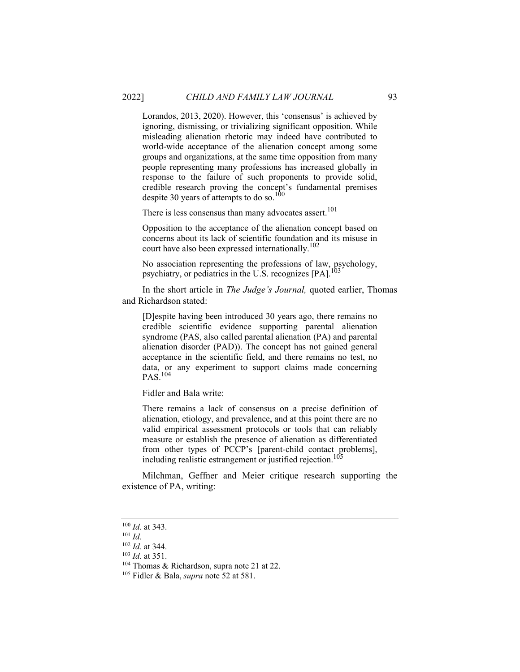Lorandos, 2013, 2020). However, this 'consensus' is achieved by ignoring, dismissing, or trivializing significant opposition. While misleading alienation rhetoric may indeed have contributed to world-wide acceptance of the alienation concept among some groups and organizations, at the same time opposition from many people representing many professions has increased globally in response to the failure of such proponents to provide solid, credible research proving the concept's fundamental premises despite 30 years of attempts to do so.<sup>100</sup>

There is less consensus than many advocates assert.<sup>101</sup>

Opposition to the acceptance of the alienation concept based on concerns about its lack of scientific foundation and its misuse in court have also been expressed internationally.<sup>102</sup>

No association representing the professions of law, psychology, psychiatry, or pediatrics in the U.S. recognizes [PA].<sup>103</sup>

In the short article in *The Judge's Journal,* quoted earlier, Thomas and Richardson stated:

[D]espite having been introduced 30 years ago, there remains no credible scientific evidence supporting parental alienation syndrome (PAS, also called parental alienation (PA) and parental alienation disorder (PAD)). The concept has not gained general acceptance in the scientific field, and there remains no test, no data, or any experiment to support claims made concerning PAS.104

Fidler and Bala write:

There remains a lack of consensus on a precise definition of alienation, etiology, and prevalence, and at this point there are no valid empirical assessment protocols or tools that can reliably measure or establish the presence of alienation as differentiated from other types of PCCP's [parent-child contact problems], including realistic estrangement or justified rejection.<sup>105</sup>

Milchman, Geffner and Meier critique research supporting the existence of PA, writing:

<sup>&</sup>lt;sup>100</sup> *Id.* at 343.<br><sup>101</sup> *Id.* <br><sup>102</sup> *Id.* at 344.

<sup>&</sup>lt;sup>103</sup> *Id.* at 351.<br><sup>104</sup> Thomas & Richardson, supra note 21 at 22.<br><sup>105</sup> Fidler & Bala, *supra* note 52 at 581.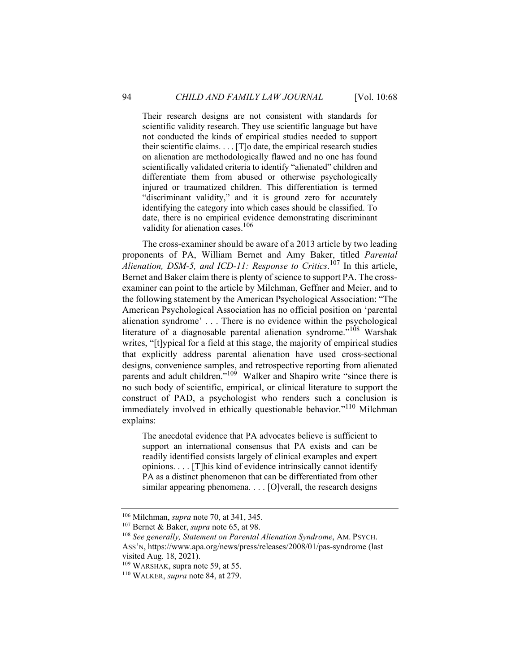Their research designs are not consistent with standards for scientific validity research. They use scientific language but have not conducted the kinds of empirical studies needed to support their scientific claims. . . . [T]o date, the empirical research studies on alienation are methodologically flawed and no one has found scientifically validated criteria to identify "alienated" children and differentiate them from abused or otherwise psychologically injured or traumatized children. This differentiation is termed "discriminant validity," and it is ground zero for accurately identifying the category into which cases should be classified. To date, there is no empirical evidence demonstrating discriminant validity for alienation cases.<sup>106</sup>

The cross-examiner should be aware of a 2013 article by two leading proponents of PA, William Bernet and Amy Baker, titled *Parental Alienation, DSM-5, and ICD-11: Response to Critics*. 107 In this article, Bernet and Baker claim there is plenty of science to support PA. The crossexaminer can point to the article by Milchman, Geffner and Meier, and to the following statement by the American Psychological Association: "The American Psychological Association has no official position on 'parental alienation syndrome' . . . There is no evidence within the psychological literature of a diagnosable parental alienation syndrome.<sup>5,108</sup> Warshak writes, "[t]ypical for a field at this stage, the majority of empirical studies that explicitly address parental alienation have used cross-sectional designs, convenience samples, and retrospective reporting from alienated parents and adult children."<sup>109</sup> Walker and Shapiro write "since there is no such body of scientific, empirical, or clinical literature to support the construct of PAD, a psychologist who renders such a conclusion is immediately involved in ethically questionable behavior."<sup>110</sup> Milchman explains:

The anecdotal evidence that PA advocates believe is sufficient to support an international consensus that PA exists and can be readily identified consists largely of clinical examples and expert opinions. . . . [T]his kind of evidence intrinsically cannot identify PA as a distinct phenomenon that can be differentiated from other similar appearing phenomena. . . . [O]verall, the research designs

<sup>&</sup>lt;sup>106</sup> Milchman, *supra* note 70, at 341, 345.<br><sup>107</sup> Bernet & Baker, *supra* note 65, at 98.<br><sup>108</sup> *See generally, Statement on Parental Alienation Syndrome*, AM. PSYCH. ASS'N, https://www.apa.org/news/press/releases/2008/01/pas-syndrome (last

visited Aug. 18, 2021).

<sup>109</sup> WARSHAK, supra note 59, at 55. 110 WALKER, *supra* note 84, at 279.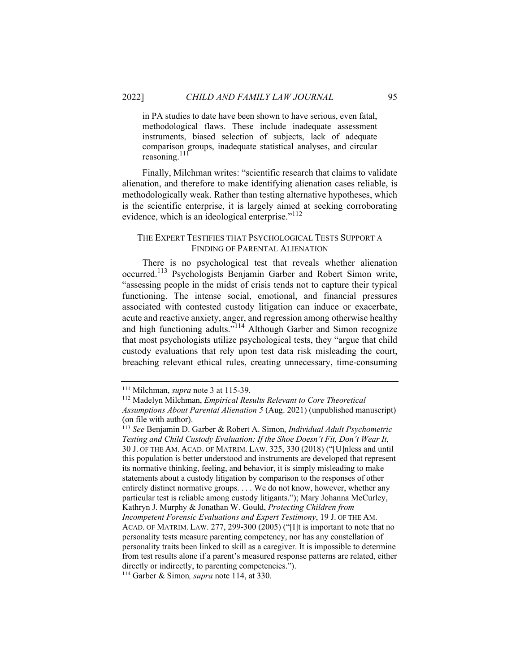in PA studies to date have been shown to have serious, even fatal, methodological flaws. These include inadequate assessment instruments, biased selection of subjects, lack of adequate comparison groups, inadequate statistical analyses, and circular reasoning.<sup>111</sup>

Finally, Milchman writes: "scientific research that claims to validate alienation, and therefore to make identifying alienation cases reliable, is methodologically weak. Rather than testing alternative hypotheses, which is the scientific enterprise, it is largely aimed at seeking corroborating evidence, which is an ideological enterprise."<sup>112</sup>

#### THE EXPERT TESTIFIES THAT PSYCHOLOGICAL TESTS SUPPORT A FINDING OF PARENTAL ALIENATION

There is no psychological test that reveals whether alienation occurred.113 Psychologists Benjamin Garber and Robert Simon write, "assessing people in the midst of crisis tends not to capture their typical functioning. The intense social, emotional, and financial pressures associated with contested custody litigation can induce or exacerbate, acute and reactive anxiety, anger, and regression among otherwise healthy and high functioning adults."<sup>114</sup> Although Garber and Simon recognize that most psychologists utilize psychological tests, they "argue that child custody evaluations that rely upon test data risk misleading the court, breaching relevant ethical rules, creating unnecessary, time-consuming

<sup>&</sup>lt;sup>111</sup> Milchman, *supra* note 3 at 115-39.<br><sup>112</sup> Madelyn Milchman, *Empirical Results Relevant to Core Theoretical Assumptions About Parental Alienation 5* (Aug. 2021) (unpublished manuscript) (on file with author).

<sup>113</sup> *See* Benjamin D. Garber & Robert A. Simon, *Individual Adult Psychometric Testing and Child Custody Evaluation: If the Shoe Doesn't Fit, Don't Wear It*, 30 J. OF THE AM. ACAD. OF MATRIM. LAW. 325, 330 (2018) ("[U]nless and until this population is better understood and instruments are developed that represent its normative thinking, feeling, and behavior, it is simply misleading to make statements about a custody litigation by comparison to the responses of other entirely distinct normative groups. . . . We do not know, however, whether any particular test is reliable among custody litigants."); Mary Johanna McCurley, Kathryn J. Murphy & Jonathan W. Gould, *Protecting Children from Incompetent Forensic Evaluations and Expert Testimony*, 19 J. OF THE AM. ACAD. OF MATRIM. LAW. 277, 299-300 (2005) ("[I]t is important to note that no personality tests measure parenting competency, nor has any constellation of personality traits been linked to skill as a caregiver. It is impossible to determine from test results alone if a parent's measured response patterns are related, either directly or indirectly, to parenting competencies.").

<sup>114</sup> Garber & Simon*, supra* note 114, at 330.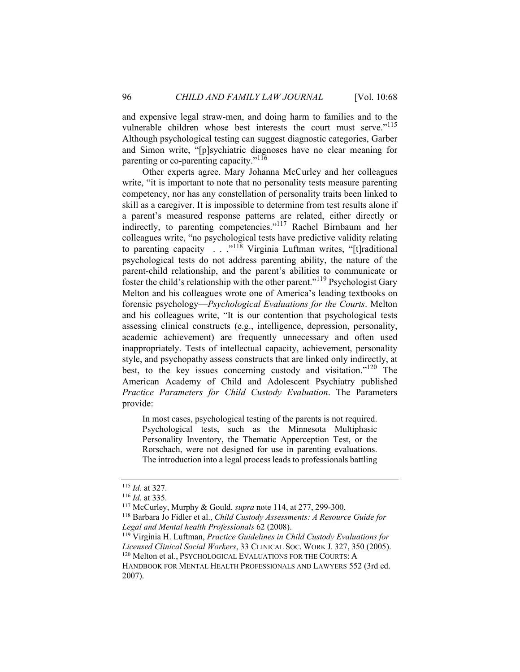and expensive legal straw-men, and doing harm to families and to the vulnerable children whose best interests the court must serve."<sup>115</sup> Although psychological testing can suggest diagnostic categories, Garber and Simon write, "[p]sychiatric diagnoses have no clear meaning for parenting or co-parenting capacity."<sup>116</sup>

Other experts agree. Mary Johanna McCurley and her colleagues write, "it is important to note that no personality tests measure parenting competency, nor has any constellation of personality traits been linked to skill as a caregiver. It is impossible to determine from test results alone if a parent's measured response patterns are related, either directly or indirectly, to parenting competencies."117 Rachel Birnbaum and her colleagues write, "no psychological tests have predictive validity relating to parenting capacity . . .<sup>"118</sup> Virginia Luftman writes, "[t]raditional psychological tests do not address parenting ability, the nature of the parent-child relationship, and the parent's abilities to communicate or foster the child's relationship with the other parent."119 Psychologist Gary Melton and his colleagues wrote one of America's leading textbooks on forensic psychology—*Psychological Evaluations for the Courts*. Melton and his colleagues write, "It is our contention that psychological tests assessing clinical constructs (e.g., intelligence, depression, personality, academic achievement) are frequently unnecessary and often used inappropriately. Tests of intellectual capacity, achievement, personality style, and psychopathy assess constructs that are linked only indirectly, at best, to the key issues concerning custody and visitation."120 The American Academy of Child and Adolescent Psychiatry published *Practice Parameters for Child Custody Evaluation*. The Parameters provide:

In most cases, psychological testing of the parents is not required. Psychological tests, such as the Minnesota Multiphasic Personality Inventory, the Thematic Apperception Test, or the Rorschach, were not designed for use in parenting evaluations. The introduction into a legal process leads to professionals battling

<sup>115</sup> *Id.* at 327. 116 *Id.* at 335. 117 McCurley, Murphy & Gould, *supra* note 114, at 277, 299-300. 118 Barbara Jo Fidler et al., *Child Custody Assessments: A Resource Guide for Legal and Mental health Professionals* 62 (2008). 119 Virginia H. Luftman, *Practice Guidelines in Child Custody Evaluations for* 

*Licensed Clinical Social Workers*, 33 CLINICAL SOC. WORK J. 327, 350 (2005). 120 Melton et al., PSYCHOLOGICAL EVALUATIONS FOR THE COURTS: <sup>A</sup>

HANDBOOK FOR MENTAL HEALTH PROFESSIONALS AND LAWYERS 552 (3rd ed. 2007).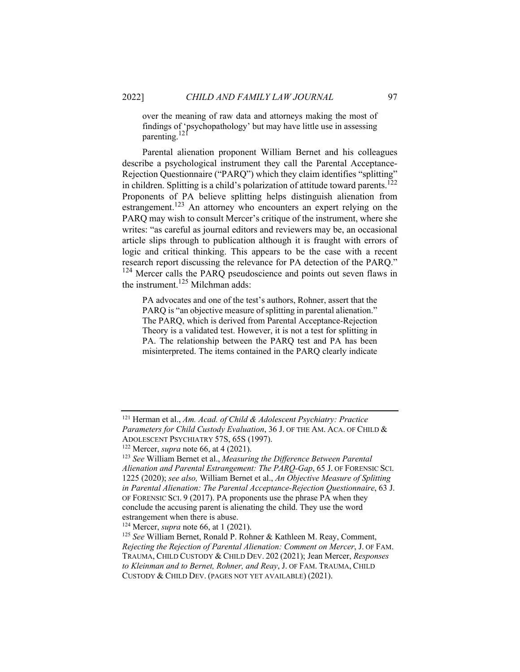over the meaning of raw data and attorneys making the most of findings of 'psychopathology' but may have little use in assessing parenting.<sup>121</sup>

Parental alienation proponent William Bernet and his colleagues describe a psychological instrument they call the Parental Acceptance-Rejection Questionnaire ("PARQ") which they claim identifies "splitting" in children. Splitting is a child's polarization of attitude toward parents.<sup>122</sup> Proponents of PA believe splitting helps distinguish alienation from estrangement.<sup>123</sup> An attorney who encounters an expert relying on the PARQ may wish to consult Mercer's critique of the instrument, where she writes: "as careful as journal editors and reviewers may be, an occasional article slips through to publication although it is fraught with errors of logic and critical thinking. This appears to be the case with a recent research report discussing the relevance for PA detection of the PARQ." <sup>124</sup> Mercer calls the PARQ pseudoscience and points out seven flaws in the instrument.<sup>125</sup> Milchman adds:

PA advocates and one of the test's authors, Rohner, assert that the PARQ is "an objective measure of splitting in parental alienation." The PARQ, which is derived from Parental Acceptance-Rejection Theory is a validated test. However, it is not a test for splitting in PA. The relationship between the PARQ test and PA has been misinterpreted. The items contained in the PARQ clearly indicate

<sup>121</sup> Herman et al., *Am. Acad. of Child & Adolescent Psychiatry: Practice Parameters for Child Custody Evaluation*, 36 J. OF THE AM. ACA. OF CHILD & ADOLESCENT PSYCHIATRY 57S, 65S (1997).<br><sup>122</sup> Mercer, *supra* note 66, at 4 (2021).<br><sup>123</sup> *See* William Bernet et al., *Measuring the Difference Between Parental* 

*Alienation and Parental Estrangement: The PARQ-Gap*, 65 J. OF FORENSIC SCI. 1225 (2020); *see also,* William Bernet et al., *An Objective Measure of Splitting in Parental Alienation: The Parental Acceptance-Rejection Questionnaire*, 63 J. OF FORENSIC SCI. 9 (2017). PA proponents use the phrase PA when they conclude the accusing parent is alienating the child. They use the word estrangement when there is abuse.

<sup>&</sup>lt;sup>124</sup> Mercer, *supra* note 66, at 1 (2021).<br><sup>125</sup> *See* William Bernet, Ronald P. Rohner & Kathleen M. Reay, Comment, *Rejecting the Rejection of Parental Alienation: Comment on Mercer*, J. OF FAM. TRAUMA, CHILD CUSTODY & CHILD DEV. 202 (2021); Jean Mercer, *Responses to Kleinman and to Bernet, Rohner, and Reay*, J. OF FAM. TRAUMA, CHILD CUSTODY & CHILD DEV. (PAGES NOT YET AVAILABLE) (2021).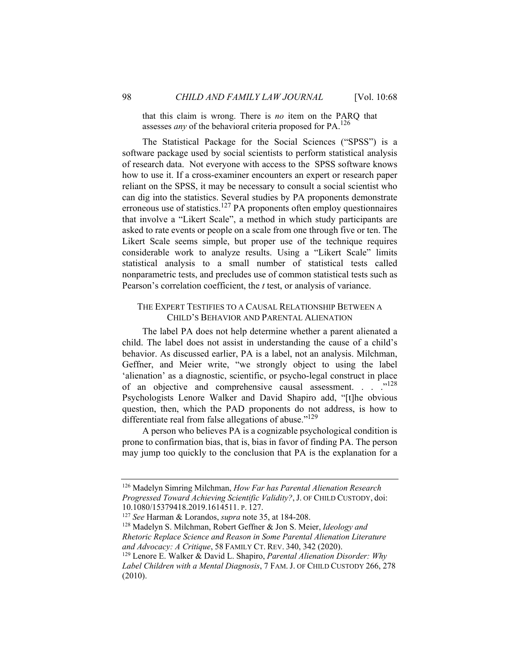that this claim is wrong. There is *no* item on the PARQ that assesses *any* of the behavioral criteria proposed for PA.126

The Statistical Package for the Social Sciences ("SPSS") is a software package used by social scientists to perform statistical analysis of research data. Not everyone with access to the SPSS software knows how to use it. If a cross-examiner encounters an expert or research paper reliant on the SPSS, it may be necessary to consult a social scientist who can dig into the statistics. Several studies by PA proponents demonstrate erroneous use of statistics.<sup>127</sup> PA proponents often employ questionnaires that involve a "Likert Scale", a method in which study participants are asked to rate events or people on a scale from one through five or ten. The Likert Scale seems simple, but proper use of the technique requires considerable work to analyze results. Using a "Likert Scale" limits statistical analysis to a small number of statistical tests called nonparametric tests, and precludes use of common statistical tests such as Pearson's correlation coefficient, the *t* test, or analysis of variance.

#### THE EXPERT TESTIFIES TO A CAUSAL RELATIONSHIP BETWEEN A CHILD'S BEHAVIOR AND PARENTAL ALIENATION

The label PA does not help determine whether a parent alienated a child. The label does not assist in understanding the cause of a child's behavior. As discussed earlier, PA is a label, not an analysis. Milchman, Geffner, and Meier write, "we strongly object to using the label 'alienation' as a diagnostic, scientific, or psycho-legal construct in place of an objective and comprehensive causal assessment. . . ."128 Psychologists Lenore Walker and David Shapiro add, "[t]he obvious question, then, which the PAD proponents do not address, is how to differentiate real from false allegations of abuse."<sup>129</sup>

A person who believes PA is a cognizable psychological condition is prone to confirmation bias, that is, bias in favor of finding PA. The person may jump too quickly to the conclusion that PA is the explanation for a

<sup>126</sup> Madelyn Simring Milchman, *How Far has Parental Alienation Research Progressed Toward Achieving Scientific Validity?*, J. OF CHILD CUSTODY, doi:

<sup>10.1080/15379418.2019.1614511.</sup> P. 127. 127 *See* Harman & Lorandos, *supra* note 35, at 184-208.

<sup>128</sup> Madelyn S. Milchman, Robert Geffner & Jon S. Meier, *Ideology and Rhetoric Replace Science and Reason in Some Parental Alienation Literature and Advocacy: A Critique*, 58 FAMILY CT. REV. 340, 342 (2020). 129 Lenore E. Walker & David L. Shapiro, *Parental Alienation Disorder: Why* 

*Label Children with a Mental Diagnosis*, 7 FAM. J. OF CHILD CUSTODY 266, 278 (2010).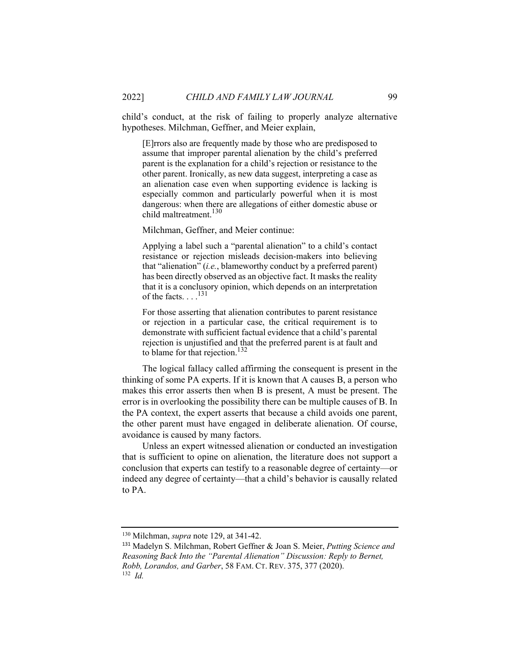child's conduct, at the risk of failing to properly analyze alternative hypotheses. Milchman, Geffner, and Meier explain,

[E]rrors also are frequently made by those who are predisposed to assume that improper parental alienation by the child's preferred parent is the explanation for a child's rejection or resistance to the other parent. Ironically, as new data suggest, interpreting a case as an alienation case even when supporting evidence is lacking is especially common and particularly powerful when it is most dangerous: when there are allegations of either domestic abuse or child maltreatment.<sup>130</sup>

Milchman, Geffner, and Meier continue:

Applying a label such a "parental alienation" to a child's contact resistance or rejection misleads decision-makers into believing that "alienation" (*i.e.*, blameworthy conduct by a preferred parent) has been directly observed as an objective fact. It masks the reality that it is a conclusory opinion, which depends on an interpretation of the facts.  $\ldots$ <sup>131</sup>

For those asserting that alienation contributes to parent resistance or rejection in a particular case, the critical requirement is to demonstrate with sufficient factual evidence that a child's parental rejection is unjustified and that the preferred parent is at fault and to blame for that rejection.<sup>132</sup>

The logical fallacy called affirming the consequent is present in the thinking of some PA experts. If it is known that A causes B, a person who makes this error asserts then when B is present, A must be present. The error is in overlooking the possibility there can be multiple causes of B. In the PA context, the expert asserts that because a child avoids one parent, the other parent must have engaged in deliberate alienation. Of course, avoidance is caused by many factors.

Unless an expert witnessed alienation or conducted an investigation that is sufficient to opine on alienation, the literature does not support a conclusion that experts can testify to a reasonable degree of certainty—or indeed any degree of certainty—that a child's behavior is causally related to PA.

<sup>&</sup>lt;sup>130</sup> Milchman, *supra* note 129, at 341-42.<br><sup>131</sup> Madelyn S. Milchman, Robert Geffner & Joan S. Meier, *Putting Science and Reasoning Back Into the "Parental Alienation" Discussion: Reply to Bernet, Robb, Lorandos, and Garber*, 58 FAM. CT. REV. 375, 377 (2020). 132 *Id.*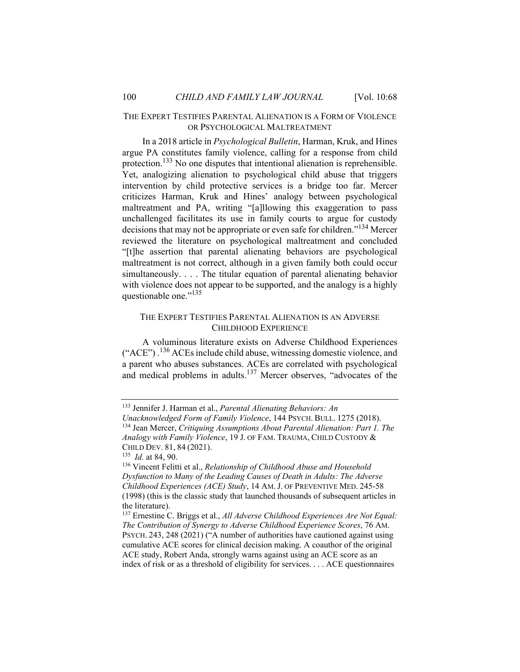#### THE EXPERT TESTIFIES PARENTAL ALIENATION IS A FORM OF VIOLENCE OR PSYCHOLOGICAL MALTREATMENT

In a 2018 article in *Psychological Bulletin*, Harman, Kruk, and Hines argue PA constitutes family violence, calling for a response from child protection.133 No one disputes that intentional alienation is reprehensible. Yet, analogizing alienation to psychological child abuse that triggers intervention by child protective services is a bridge too far. Mercer criticizes Harman, Kruk and Hines' analogy between psychological maltreatment and PA, writing "[a]llowing this exaggeration to pass unchallenged facilitates its use in family courts to argue for custody decisions that may not be appropriate or even safe for children."134 Mercer reviewed the literature on psychological maltreatment and concluded "[t]he assertion that parental alienating behaviors are psychological maltreatment is not correct, although in a given family both could occur simultaneously. . . . The titular equation of parental alienating behavior with violence does not appear to be supported, and the analogy is a highly questionable one."<sup>135</sup>

#### THE EXPERT TESTIFIES PARENTAL ALIENATION IS AN ADVERSE CHILDHOOD EXPERIENCE

A voluminous literature exists on Adverse Childhood Experiences  $("ACE")$ .<sup>136</sup> ACEs include child abuse, witnessing domestic violence, and a parent who abuses substances. ACEs are correlated with psychological and medical problems in adults.<sup>137</sup> Mercer observes, "advocates of the

<sup>&</sup>lt;sup>133</sup> Jennifer J. Harman et al., *Parental Alienating Behaviors: An Unacknowledged Form of Family Violence*, 144 PSYCH. BULL. 1275 (2018). <sup>134</sup> Jean Mercer, *Critiquing Assumptions About Parental Alienation: Part 1. The Analogy with Family Violence*, 19 J. OF FAM. TRAUMA, CHILD CUSTODY & CHILD DEV. 81, 84 (2021).

<sup>&</sup>lt;sup>135</sup> *Id.* at 84, 90.<br><sup>136</sup> Vincent Felitti et al., *Relationship of Childhood Abuse and Household Dysfunction to Many of the Leading Causes of Death in Adults: The Adverse Childhood Experiences (ACE) Study*, 14 AM.J. OF PREVENTIVE MED. 245-58 (1998) (this is the classic study that launched thousands of subsequent articles in the literature).

<sup>137</sup> Ernestine C. Briggs et al., *All Adverse Childhood Experiences Are Not Equal: The Contribution of Synergy to Adverse Childhood Experience Scores*, 76 AM. PSYCH. 243, 248 (2021) ("A number of authorities have cautioned against using cumulative ACE scores for clinical decision making. A coauthor of the original ACE study, Robert Anda, strongly warns against using an ACE score as an index of risk or as a threshold of eligibility for services. . . . ACE questionnaires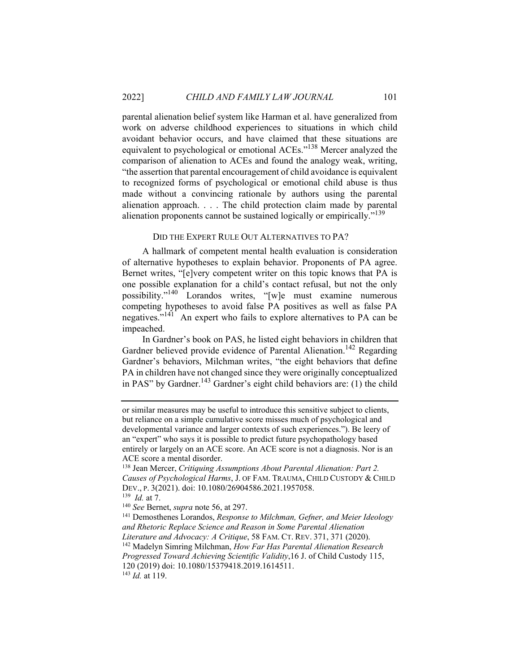parental alienation belief system like Harman et al. have generalized from work on adverse childhood experiences to situations in which child avoidant behavior occurs, and have claimed that these situations are equivalent to psychological or emotional ACEs."138 Mercer analyzed the comparison of alienation to ACEs and found the analogy weak, writing, "the assertion that parental encouragement of child avoidance is equivalent to recognized forms of psychological or emotional child abuse is thus made without a convincing rationale by authors using the parental alienation approach. . . . The child protection claim made by parental alienation proponents cannot be sustained logically or empirically."<sup>139</sup>

#### DID THE EXPERT RULE OUT ALTERNATIVES TO PA?

A hallmark of competent mental health evaluation is consideration of alternative hypotheses to explain behavior. Proponents of PA agree. Bernet writes, "[e]very competent writer on this topic knows that PA is one possible explanation for a child's contact refusal, but not the only possibility."140 Lorandos writes, "[w]e must examine numerous competing hypotheses to avoid false PA positives as well as false PA negatives."<sup>141</sup> An expert who fails to explore alternatives to PA can be impeached.

In Gardner's book on PAS, he listed eight behaviors in children that Gardner believed provide evidence of Parental Alienation.<sup>142</sup> Regarding Gardner's behaviors, Milchman writes, "the eight behaviors that define PA in children have not changed since they were originally conceptualized in PAS" by Gardner.<sup>143</sup> Gardner's eight child behaviors are: (1) the child

<sup>141</sup> Demosthenes Lorandos, *Response to Milchman, Gefner, and Meier Ideology and Rhetoric Replace Science and Reason in Some Parental Alienation* 

*Literature and Advocacy: A Critique*, 58 FAM. CT. REV. 371, 371 (2020). 142 Madelyn Simring Milchman, *How Far Has Parental Alienation Research Progressed Toward Achieving Scientific Validity*,16 J. of Child Custody 115, 120 (2019) doi: 10.1080/15379418.2019.1614511. <sup>143</sup> *Id.* at 119.

or similar measures may be useful to introduce this sensitive subject to clients, but reliance on a simple cumulative score misses much of psychological and developmental variance and larger contexts of such experiences."). Be leery of an "expert" who says it is possible to predict future psychopathology based entirely or largely on an ACE score. An ACE score is not a diagnosis. Nor is an ACE score a mental disorder.

<sup>138</sup> Jean Mercer, *Critiquing Assumptions About Parental Alienation: Part 2. Causes of Psychological Harms*, J. OF FAM. TRAUMA, CHILD CUSTODY & CHILD DEV., P. 3(2021). doi: 10.1080/26904586.2021.1957058.<br><sup>139</sup> *Id.* at 7.<br><sup>140</sup> *See* Bernet, *supra* note 56, at 297.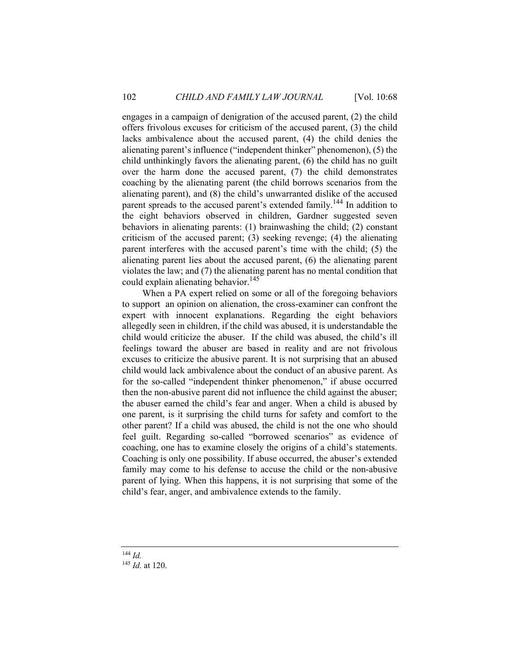engages in a campaign of denigration of the accused parent, (2) the child offers frivolous excuses for criticism of the accused parent, (3) the child lacks ambivalence about the accused parent, (4) the child denies the alienating parent's influence ("independent thinker" phenomenon), (5) the child unthinkingly favors the alienating parent, (6) the child has no guilt over the harm done the accused parent, (7) the child demonstrates coaching by the alienating parent (the child borrows scenarios from the alienating parent), and (8) the child's unwarranted dislike of the accused parent spreads to the accused parent's extended family.<sup>144</sup> In addition to the eight behaviors observed in children, Gardner suggested seven behaviors in alienating parents: (1) brainwashing the child; (2) constant criticism of the accused parent; (3) seeking revenge; (4) the alienating parent interferes with the accused parent's time with the child; (5) the alienating parent lies about the accused parent, (6) the alienating parent violates the law; and (7) the alienating parent has no mental condition that could explain alienating behavior.<sup>145</sup>

When a PA expert relied on some or all of the foregoing behaviors to support an opinion on alienation, the cross-examiner can confront the expert with innocent explanations. Regarding the eight behaviors allegedly seen in children, if the child was abused, it is understandable the child would criticize the abuser. If the child was abused, the child's ill feelings toward the abuser are based in reality and are not frivolous excuses to criticize the abusive parent. It is not surprising that an abused child would lack ambivalence about the conduct of an abusive parent. As for the so-called "independent thinker phenomenon," if abuse occurred then the non-abusive parent did not influence the child against the abuser; the abuser earned the child's fear and anger. When a child is abused by one parent, is it surprising the child turns for safety and comfort to the other parent? If a child was abused, the child is not the one who should feel guilt. Regarding so-called "borrowed scenarios" as evidence of coaching, one has to examine closely the origins of a child's statements. Coaching is only one possibility. If abuse occurred, the abuser's extended family may come to his defense to accuse the child or the non-abusive parent of lying. When this happens, it is not surprising that some of the child's fear, anger, and ambivalence extends to the family.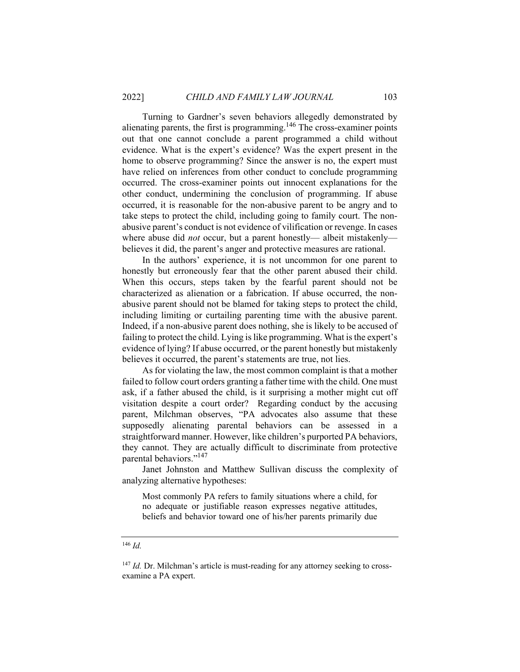Turning to Gardner's seven behaviors allegedly demonstrated by alienating parents, the first is programming.<sup>146</sup> The cross-examiner points out that one cannot conclude a parent programmed a child without evidence. What is the expert's evidence? Was the expert present in the home to observe programming? Since the answer is no, the expert must have relied on inferences from other conduct to conclude programming occurred. The cross-examiner points out innocent explanations for the other conduct, undermining the conclusion of programming. If abuse occurred, it is reasonable for the non-abusive parent to be angry and to take steps to protect the child, including going to family court. The nonabusive parent's conduct is not evidence of vilification or revenge. In cases where abuse did *not* occur, but a parent honestly— albeit mistakenly believes it did, the parent's anger and protective measures are rational.

In the authors' experience, it is not uncommon for one parent to honestly but erroneously fear that the other parent abused their child. When this occurs, steps taken by the fearful parent should not be characterized as alienation or a fabrication. If abuse occurred, the nonabusive parent should not be blamed for taking steps to protect the child, including limiting or curtailing parenting time with the abusive parent. Indeed, if a non-abusive parent does nothing, she is likely to be accused of failing to protect the child. Lying is like programming. What is the expert's evidence of lying? If abuse occurred, or the parent honestly but mistakenly believes it occurred, the parent's statements are true, not lies.

As for violating the law, the most common complaint is that a mother failed to follow court orders granting a father time with the child. One must ask, if a father abused the child, is it surprising a mother might cut off visitation despite a court order? Regarding conduct by the accusing parent, Milchman observes, "PA advocates also assume that these supposedly alienating parental behaviors can be assessed in a straightforward manner. However, like children's purported PA behaviors, they cannot. They are actually difficult to discriminate from protective parental behaviors."<sup>147</sup>

Janet Johnston and Matthew Sullivan discuss the complexity of analyzing alternative hypotheses:

Most commonly PA refers to family situations where a child, for no adequate or justifiable reason expresses negative attitudes, beliefs and behavior toward one of his/her parents primarily due

<sup>146</sup> *Id.* 

<sup>&</sup>lt;sup>147</sup> *Id.* Dr. Milchman's article is must-reading for any attorney seeking to crossexamine a PA expert.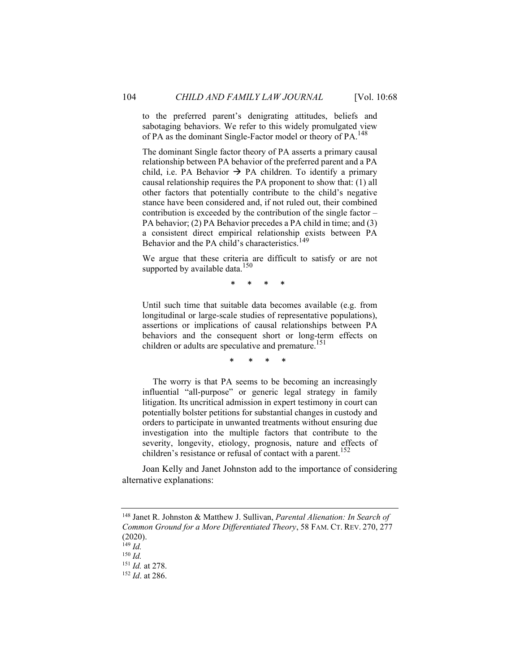to the preferred parent's denigrating attitudes, beliefs and sabotaging behaviors. We refer to this widely promulgated view of PA as the dominant Single-Factor model or theory of PA.<sup>148</sup>

The dominant Single factor theory of PA asserts a primary causal relationship between PA behavior of the preferred parent and a PA child, i.e. PA Behavior  $\rightarrow$  PA children. To identify a primary causal relationship requires the PA proponent to show that: (1) all other factors that potentially contribute to the child's negative stance have been considered and, if not ruled out, their combined contribution is exceeded by the contribution of the single factor – PA behavior; (2) PA Behavior precedes a PA child in time; and (3) a consistent direct empirical relationship exists between PA Behavior and the PA child's characteristics.<sup>149</sup>

We argue that these criteria are difficult to satisfy or are not supported by available data.<sup>150</sup>

\* \* \* \*

Until such time that suitable data becomes available (e.g. from longitudinal or large-scale studies of representative populations), assertions or implications of causal relationships between PA behaviors and the consequent short or long-term effects on children or adults are speculative and premature.<sup>151</sup>

\* \* \* \*

 The worry is that PA seems to be becoming an increasingly influential "all-purpose" or generic legal strategy in family litigation. Its uncritical admission in expert testimony in court can potentially bolster petitions for substantial changes in custody and orders to participate in unwanted treatments without ensuring due investigation into the multiple factors that contribute to the severity, longevity, etiology, prognosis, nature and effects of children's resistance or refusal of contact with a parent.<sup>152</sup>

Joan Kelly and Janet Johnston add to the importance of considering alternative explanations:

<sup>148</sup> Janet R. Johnston & Matthew J. Sullivan, *Parental Alienation: In Search of Common Ground for a More Differentiated Theory*, 58 FAM. CT. REV. 270, 277 (2020).

 $^{149}$  *Id.* 

<sup>&</sup>lt;sup>150</sup> *Id.* at 278.

<sup>&</sup>lt;sup>152</sup> *Id.* at 286.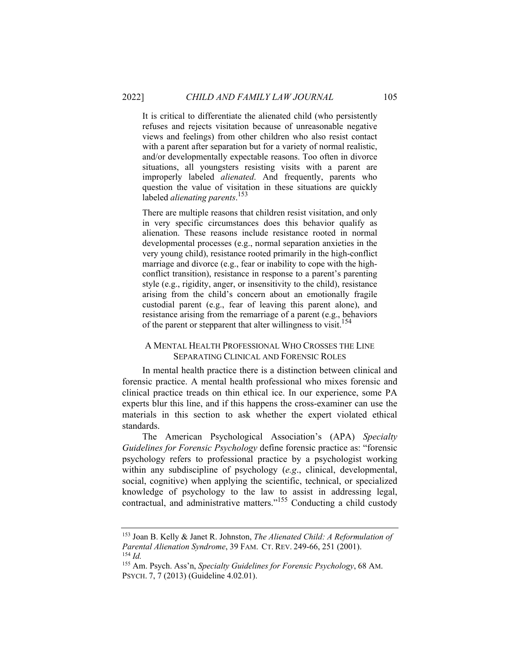It is critical to differentiate the alienated child (who persistently refuses and rejects visitation because of unreasonable negative views and feelings) from other children who also resist contact with a parent after separation but for a variety of normal realistic, and/or developmentally expectable reasons. Too often in divorce situations, all youngsters resisting visits with a parent are improperly labeled *alienated*. And frequently, parents who question the value of visitation in these situations are quickly labeled *alienating parents*. 153

There are multiple reasons that children resist visitation, and only in very specific circumstances does this behavior qualify as alienation. These reasons include resistance rooted in normal developmental processes (e.g., normal separation anxieties in the very young child), resistance rooted primarily in the high-conflict marriage and divorce (e.g., fear or inability to cope with the highconflict transition), resistance in response to a parent's parenting style (e.g., rigidity, anger, or insensitivity to the child), resistance arising from the child's concern about an emotionally fragile custodial parent (e.g., fear of leaving this parent alone), and resistance arising from the remarriage of a parent (e.g., behaviors of the parent or stepparent that alter willingness to visit.<sup>154</sup>

#### A MENTAL HEALTH PROFESSIONAL WHO CROSSES THE LINE SEPARATING CLINICAL AND FORENSIC ROLES

In mental health practice there is a distinction between clinical and forensic practice. A mental health professional who mixes forensic and clinical practice treads on thin ethical ice. In our experience, some PA experts blur this line, and if this happens the cross-examiner can use the materials in this section to ask whether the expert violated ethical standards.

The American Psychological Association's (APA) *Specialty Guidelines for Forensic Psychology* define forensic practice as: "forensic psychology refers to professional practice by a psychologist working within any subdiscipline of psychology (*e.g*., clinical, developmental, social, cognitive) when applying the scientific, technical, or specialized knowledge of psychology to the law to assist in addressing legal, contractual, and administrative matters."155 Conducting a child custody

<sup>153</sup> Joan B. Kelly & Janet R. Johnston, *The Alienated Child: A Reformulation of Parental Alienation Syndrome*, 39 FAM. CT. REV. 249-66, 251 (2001). <sup>154</sup> *Id.*

<sup>155</sup> Am. Psych. Ass'n, *Specialty Guidelines for Forensic Psychology*, 68 AM. PSYCH. 7, 7 (2013) (Guideline 4.02.01).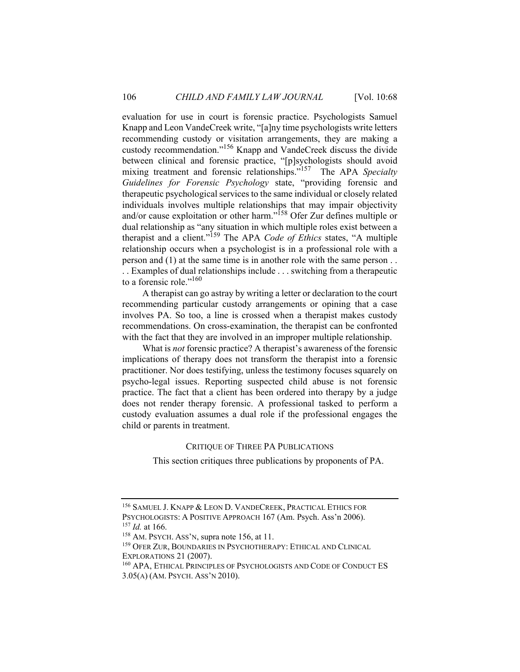evaluation for use in court is forensic practice. Psychologists Samuel Knapp and Leon VandeCreek write, "[a]ny time psychologists write letters recommending custody or visitation arrangements, they are making a custody recommendation."<sup>156</sup> Knapp and VandeCreek discuss the divide between clinical and forensic practice, "[p]sychologists should avoid mixing treatment and forensic relationships."157 The APA *Specialty Guidelines for Forensic Psychology* state, "providing forensic and therapeutic psychological services to the same individual or closely related individuals involves multiple relationships that may impair objectivity and/or cause exploitation or other harm."158 Ofer Zur defines multiple or dual relationship as "any situation in which multiple roles exist between a therapist and a client."159 The APA *Code of Ethics* states, "A multiple relationship occurs when a psychologist is in a professional role with a person and (1) at the same time is in another role with the same person . . . . Examples of dual relationships include . . . switching from a therapeutic to a forensic role."<sup>160</sup>

A therapist can go astray by writing a letter or declaration to the court recommending particular custody arrangements or opining that a case involves PA. So too, a line is crossed when a therapist makes custody recommendations. On cross-examination, the therapist can be confronted with the fact that they are involved in an improper multiple relationship.

What is *not* forensic practice? A therapist's awareness of the forensic implications of therapy does not transform the therapist into a forensic practitioner. Nor does testifying, unless the testimony focuses squarely on psycho-legal issues. Reporting suspected child abuse is not forensic practice. The fact that a client has been ordered into therapy by a judge does not render therapy forensic. A professional tasked to perform a custody evaluation assumes a dual role if the professional engages the child or parents in treatment.

#### CRITIQUE OF THREE PA PUBLICATIONS

This section critiques three publications by proponents of PA.

<sup>156</sup> SAMUEL J. KNAPP & LEON D. VANDECREEK, PRACTICAL ETHICS FOR PSYCHOLOGISTS: A POSITIVE APPROACH 167 (Am. Psych. Ass'n 2006).<br><sup>157</sup> *Id.* at 166.<br><sup>158</sup> AM. PSYCH. ASS'N, supra note 156, at 11.<br><sup>159</sup> OFER ZUR, BOUNDARIES IN PSYCHOTHERAPY: ETHICAL AND CLINICAL

EXPLORATIONS 21 (2007).<br><sup>160</sup> APA, Ethical Principles of Psychologists and Code of Conduct ES

<sup>3.05(</sup>A) (AM. PSYCH. ASS'N 2010).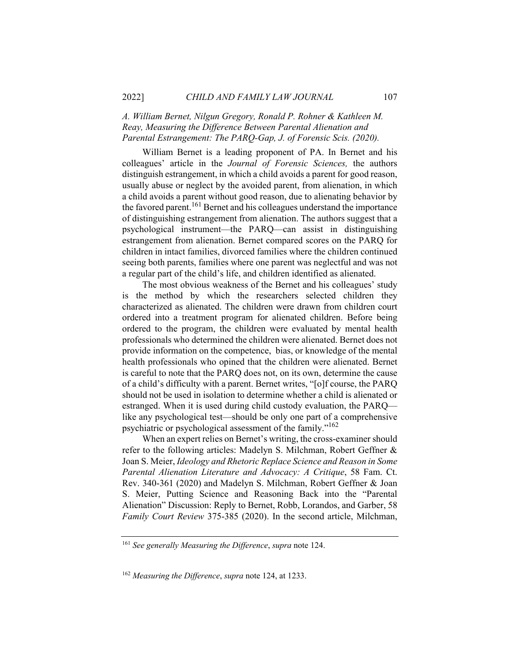#### *A. William Bernet, Nilgun Gregory, Ronald P. Rohner & Kathleen M. Reay, Measuring the Difference Between Parental Alienation and Parental Estrangement: The PARQ-Gap, J. of Forensic Scis. (2020).*

William Bernet is a leading proponent of PA. In Bernet and his colleagues' article in the *Journal of Forensic Sciences,* the authors distinguish estrangement, in which a child avoids a parent for good reason, usually abuse or neglect by the avoided parent, from alienation, in which a child avoids a parent without good reason, due to alienating behavior by the favored parent.<sup>161</sup> Bernet and his colleagues understand the importance of distinguishing estrangement from alienation. The authors suggest that a psychological instrument—the PARQ—can assist in distinguishing estrangement from alienation. Bernet compared scores on the PARQ for children in intact families, divorced families where the children continued seeing both parents, families where one parent was neglectful and was not a regular part of the child's life, and children identified as alienated.

The most obvious weakness of the Bernet and his colleagues' study is the method by which the researchers selected children they characterized as alienated. The children were drawn from children court ordered into a treatment program for alienated children. Before being ordered to the program, the children were evaluated by mental health professionals who determined the children were alienated. Bernet does not provide information on the competence, bias, or knowledge of the mental health professionals who opined that the children were alienated. Bernet is careful to note that the PARQ does not, on its own, determine the cause of a child's difficulty with a parent. Bernet writes, "[o]f course, the PARQ should not be used in isolation to determine whether a child is alienated or estranged. When it is used during child custody evaluation, the PARQ like any psychological test—should be only one part of a comprehensive psychiatric or psychological assessment of the family."<sup>162</sup>

When an expert relies on Bernet's writing, the cross-examiner should refer to the following articles: Madelyn S. Milchman, Robert Geffner & Joan S. Meier, *Ideology and Rhetoric Replace Science and Reason in Some Parental Alienation Literature and Advocacy: A Critique*, 58 Fam. Ct. Rev. 340-361 (2020) and Madelyn S. Milchman, Robert Geffner & Joan S. Meier, Putting Science and Reasoning Back into the "Parental Alienation" Discussion: Reply to Bernet, Robb, Lorandos, and Garber, 58 *Family Court Review* 375-385 (2020). In the second article, Milchman,

<sup>161</sup> *See generally Measuring the Difference*, *supra* note 124.

<sup>162</sup> *Measuring the Difference*, *supra* note 124, at 1233.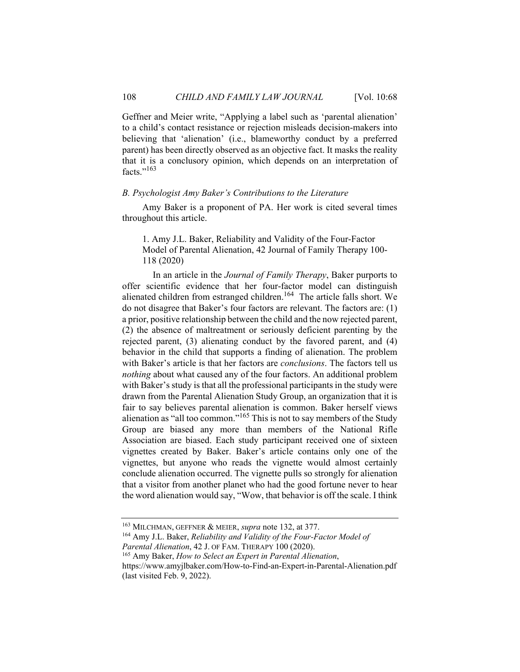Geffner and Meier write, "Applying a label such as 'parental alienation' to a child's contact resistance or rejection misleads decision-makers into believing that 'alienation' (i.e., blameworthy conduct by a preferred parent) has been directly observed as an objective fact. It masks the reality that it is a conclusory opinion, which depends on an interpretation of facts."<sup>163</sup>

#### *B. Psychologist Amy Baker's Contributions to the Literature*

Amy Baker is a proponent of PA. Her work is cited several times throughout this article.

1. Amy J.L. Baker, Reliability and Validity of the Four-Factor Model of Parental Alienation, 42 Journal of Family Therapy 100- 118 (2020)

 In an article in the *Journal of Family Therapy*, Baker purports to offer scientific evidence that her four-factor model can distinguish alienated children from estranged children.<sup>164</sup> The article falls short. We do not disagree that Baker's four factors are relevant. The factors are: (1) a prior, positive relationship between the child and the now rejected parent, (2) the absence of maltreatment or seriously deficient parenting by the rejected parent, (3) alienating conduct by the favored parent, and (4) behavior in the child that supports a finding of alienation. The problem with Baker's article is that her factors are *conclusions*. The factors tell us *nothing* about what caused any of the four factors. An additional problem with Baker's study is that all the professional participants in the study were drawn from the Parental Alienation Study Group, an organization that it is fair to say believes parental alienation is common. Baker herself views alienation as "all too common."165 This is not to say members of the Study Group are biased any more than members of the National Rifle Association are biased. Each study participant received one of sixteen vignettes created by Baker. Baker's article contains only one of the vignettes, but anyone who reads the vignette would almost certainly conclude alienation occurred. The vignette pulls so strongly for alienation that a visitor from another planet who had the good fortune never to hear the word alienation would say, "Wow, that behavior is off the scale. I think

<sup>&</sup>lt;sup>163</sup> MILCHMAN, GEFFNER & MEIER, *supra* note 132, at 377.<br><sup>164</sup> Amy J.L. Baker, *Reliability and Validity of the Four-Factor Model of Parental Alienation*, 42 J. OF FAM. THERAPY 100 (2020).

<sup>165</sup> Amy Baker, *How to Select an Expert in Parental Alienation*,

https://www.amyjlbaker.com/How-to-Find-an-Expert-in-Parental-Alienation.pdf (last visited Feb. 9, 2022).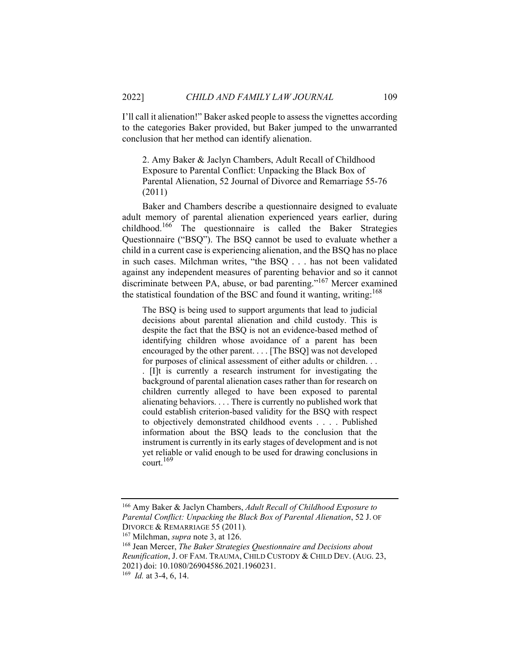I'll call it alienation!" Baker asked people to assess the vignettes according to the categories Baker provided, but Baker jumped to the unwarranted conclusion that her method can identify alienation.

2. Amy Baker & Jaclyn Chambers, Adult Recall of Childhood Exposure to Parental Conflict: Unpacking the Black Box of Parental Alienation, 52 Journal of Divorce and Remarriage 55-76 (2011)

Baker and Chambers describe a questionnaire designed to evaluate adult memory of parental alienation experienced years earlier, during childhood.166 The questionnaire is called the Baker Strategies Questionnaire ("BSQ"). The BSQ cannot be used to evaluate whether a child in a current case is experiencing alienation, and the BSQ has no place in such cases. Milchman writes, "the BSQ . . . has not been validated against any independent measures of parenting behavior and so it cannot discriminate between PA, abuse, or bad parenting."<sup>167</sup> Mercer examined the statistical foundation of the BSC and found it wanting, writing: $168$ 

The BSQ is being used to support arguments that lead to judicial decisions about parental alienation and child custody. This is despite the fact that the BSQ is not an evidence-based method of identifying children whose avoidance of a parent has been encouraged by the other parent. . . . [The BSQ] was not developed for purposes of clinical assessment of either adults or children. . . . [I]t is currently a research instrument for investigating the background of parental alienation cases rather than for research on children currently alleged to have been exposed to parental alienating behaviors. . . . There is currently no published work that could establish criterion-based validity for the BSQ with respect to objectively demonstrated childhood events . . . . Published information about the BSQ leads to the conclusion that the instrument is currently in its early stages of development and is not yet reliable or valid enough to be used for drawing conclusions in  $count.<sup>169</sup>$ 

<sup>166</sup> Amy Baker & Jaclyn Chambers, *Adult Recall of Childhood Exposure to Parental Conflict: Unpacking the Black Box of Parental Alienation*, 52 J. OF DIVORCE & REMARRIAGE 55 (2011).<br><sup>167</sup> Milchman, *supra* note 3, at 126.

<sup>&</sup>lt;sup>168</sup> Jean Mercer, *The Baker Strategies Questionnaire and Decisions about Reunification*, J. OF FAM. TRAUMA, CHILD CUSTODY & CHILD DEV. (AUG. 23, 2021) doi: 10.1080/26904586.2021.1960231. 169 *Id.* at 3-4, 6, 14.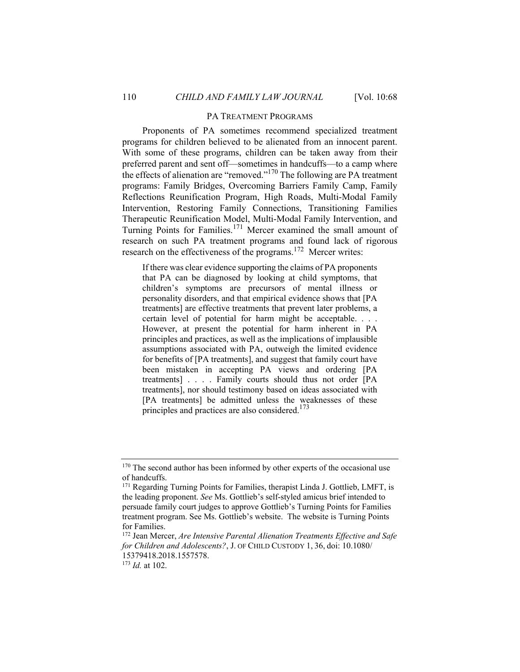#### PA TREATMENT PROGRAMS

Proponents of PA sometimes recommend specialized treatment programs for children believed to be alienated from an innocent parent. With some of these programs, children can be taken away from their preferred parent and sent off—sometimes in handcuffs—to a camp where the effects of alienation are "removed."<sup>170</sup> The following are PA treatment programs: Family Bridges, Overcoming Barriers Family Camp, Family Reflections Reunification Program, High Roads, Multi-Modal Family Intervention, Restoring Family Connections, Transitioning Families Therapeutic Reunification Model, Multi-Modal Family Intervention, and Turning Points for Families.171 Mercer examined the small amount of research on such PA treatment programs and found lack of rigorous research on the effectiveness of the programs.<sup>172</sup> Mercer writes:

If there was clear evidence supporting the claims of PA proponents that PA can be diagnosed by looking at child symptoms, that children's symptoms are precursors of mental illness or personality disorders, and that empirical evidence shows that [PA treatments] are effective treatments that prevent later problems, a certain level of potential for harm might be acceptable. . . . However, at present the potential for harm inherent in PA principles and practices, as well as the implications of implausible assumptions associated with PA, outweigh the limited evidence for benefits of [PA treatments], and suggest that family court have been mistaken in accepting PA views and ordering [PA treatments] . . . . Family courts should thus not order [PA treatments], nor should testimony based on ideas associated with [PA treatments] be admitted unless the weaknesses of these principles and practices are also considered.<sup>173</sup>

<sup>&</sup>lt;sup>170</sup> The second author has been informed by other experts of the occasional use of handcuffs.

<sup>&</sup>lt;sup>171</sup> Regarding Turning Points for Families, therapist Linda J. Gottlieb, LMFT, is the leading proponent. *See* Ms. Gottlieb's self-styled amicus brief intended to persuade family court judges to approve Gottlieb's Turning Points for Families treatment program. See Ms. Gottlieb's website. The website is Turning Points for Families.

<sup>172</sup> Jean Mercer, *Are Intensive Parental Alienation Treatments Effective and Safe for Children and Adolescents?*, J. OF CHILD CUSTODY 1, 36, doi: 10.1080/ 15379418.2018.1557578.

<sup>173</sup> *Id.* at 102.